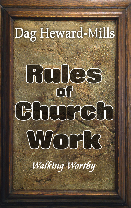# Dag Heward-Mills

# BUIGS  $\overline{OP}$ COODCOO Work

Walking Wortby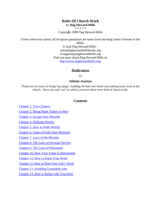## **Rules Of Church Work** By **Dag Heward-Mills**

,<br>\* \* \* \* \*

Copyright 2008 Dag Heward-Mills

Unless otherwise stated, all Scripture quotations are taken from the King James Version of the

Bible. E mail Dag Heward-Mills : info@daghewardmillsbooks.org evangelist@daghewardmills.org Find out more about Dag Heward-Mills at: <http://www.daghewardmills.org/>

# *Dedication*

To

## *Johnny Awanyo*

<span id="page-1-0"></span>Thank you for years of fixing "my plugs", building the best ever choirs and making music work in the church. Since you said "yes" in school, you have done every kind of church work.

## *Contents*

Chapter [1. Two Chances](#page-1-0) [Chapter 2. Being Made Fishers of Men](#page-2-0) [Chapter 3. Escape from Pharaoh](#page-4-0) Chapter 4. [Walking Worthy](#page-7-0) [Chapter 5. How to Walk Worthy](#page-11-0) [Chapter 6. Types of Full-Time](#page-16-0) Ministers [Chapter 7. Laws of the Mission](#page-19-0) [Chapter 8. The Laws of Personal Service](#page-23-0) [Chapter 9. The Laws of](#page-26-0) Placement [Chapter 10. How Your Value Is](#page-29-0) Determined. [Chapter 11. How to Enjoy Your Work](#page-37-0) [Chapter 12. How to Find Your](#page-41-0) Life's Work [Chapter 13. Avoiding](#page-43-0) Unsuitable Jobs Chapter 14. How [to Relate with Your Boss](#page-45-0)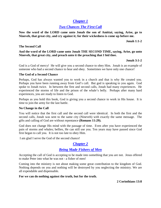# *[Chapter 1](#page-1-0)*

# *Two Chances [The First Call](#page-1-0)*

**Now the word of the LORD came unto Jonah the son of Amittai, saying, Arise, go to Nineveh, that great city, and cry against it; for their wickedness is come up before me.**

**Jonah 1:1-2**

## **The Second Call**

## **And the word of the LORD came unto Jonah THE SECOND TIME, saying, Arise, go unto Nineveh, that great city, and preach unto it the preaching that I bid thee.**

## **Jonah 3:1-2**

God is a God of mercy! He will give you a second chance to obey Him. Jonah is an example of someone who had a second chance to hear and obey. Sometimes we have only one chance!

## **The God of a Second Chance**

Perhaps, God has always wanted you to work in a church and that is why He created you. Perhaps you have been running away from God's call. But god is speaking to you again. God spoke to Jonah twice. In between the first and second calls, Jonah had many experiences. He experienced the storms of life and the prison of the whale's belly. Perhaps after many hard experiences, you are ready to listen to God.

Perhaps as you hold this book, God is giving you a second chance to work in His house. It is time to join the army for the last battle.

## **No Change in the Call**

You will notice that the first call and the second call were identical. In both the first and the second calls, Jonah was sent to the same city (Nineveh) with exactly the same message. The gifts and calling of God are without repentance **(Romans 11:29).**

God does not change His mind with the passage of time. Even after you have experienced the pain of storms and whales; bellies, He can still use you. Ten years may have passed since God first began to call you. It is not too late to obey Him.

I am glad I serve the God of the second chance!

# <span id="page-2-0"></span>*[Chapter 2](#page-1-0)*

# *[Being Made Fishers of Men](#page-1-0)*

Accepting the call of God is accepting to be made into something that you are not. Jesus offered to make Peter into what he was not - a fisher of men!

Coming into the ministry is not about making some great contribution to the kingdom of God. Nothing depends on you and nothing will be destroyed by you neglecting the ministry. We are all expendable and dispensable.

#### **For we can do nothing against the truth, but for the truth.**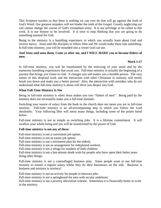This Scripture teaches us that there is nothing we can ever do that will go against the truth of God's Word. Our greatest mistakes will not hinder the truth of the Gospel. Greatly neglecting our call cannot change the course of God's triumphant army. It is our privilege to be called to this work. It is our honour to be involved. It is time to stop thinking that you are going to do something unusual for God.

Being in the ministry is a humbling experience in which you actually learn about God and receive mercy. Jesus told His disciples to follow Him and He would make them into something. In full-time ministry, you will be moulded into a vessel God can use.

## **And Jesus said unto them, Come ye after me, and I WILL MAKE you to become fishers of men.**

## **Mark 1:17**

In full-time ministry, you will be transformed by the renewing of your mind and by the numerous humbling experiences that await you. Full-time ministry is actually the beginning of a journey that brings you closer to God. It changes you and makes you a humble person. The very nature of this despised work and the interaction with other Christians in ministry will surely break you down and make you a better person! Also, the interaction with outsiders who do not understand what full-time ministry is about will drive you deeper into God.

## **What Full-Time Ministry Is Not**

Being in full-time ministry is when Jesus makes you into "fishers of men". Being paid by the ministry does not necessarily make you a full-time minister.

Switching your source of salary from the bank to the church does not mean you are in full-time ministry. Full-time ministry is an all-encompassing step in which you follow the Lord absolutely. Your following Him will mean many things, including some of the points listed below.

Full-time ministry is not as simple as switching jobs. It is a lifetime commitment. It will swallow your whole being and you will be transformed by the power of God.

#### **Full-time ministry is not any of these:**

Full-time ministry is not a convenient job option.

Full-time ministry is not an easier job option.

Full-time ministry is not a retirement plan for the elderly.

Full-time ministry is not an arrangement for redeployed workers.

Full-time ministry is not a refuge for mothers of little children.

Full-time ministry is not a last-minute death wish for people who have spent their better years doing other things.

Full-time ministry is not a camouflaged business plan. Some people want to use full-time ministry to ensure a regular salary whilst they do their businesses on the side. Business is business and ministry is ministry!

Full-time ministry is not an activity for people in between jobs.

Full-time ministry is not a springboard for men with secular ambitions.

Full-time ministry is not a poverty alleviation scheme. Sometimes it is financially better to work in the ministry.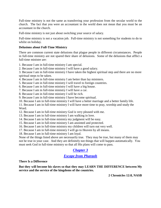Full-time ministry is not the same as transferring your profession from the secular world to the church. The fact that you were an accountant in the world does not mean that you must be an accountant in the church.

Full-time ministry is not just about switching your source of salary.

Full-time ministry is not a vacation job. Full-time ministry is not something for students to do to whilst on holiday.

### **Delusions about Full-Time Ministry**

There are common current state delusions that plague people in different circumstances. People in full-time ministry are not spared their share of delusions. Some of the delusions that afflict a full-time minister are:

1. Because I am in full-time ministry I am special.

2. Because I am in full-time ministry I will have a good salary.

3. Because I am in full-time ministry I have taken the highest spiritual step and there are no more spiritual steps to be taken.

- 4. Because I am in full-time ministry I am better than lay ministers.
- 5. Because I am in full-time ministry I will travel to foreign countries.
- 6. Because I am in full-time ministry I will have a big house.
- 7. Because I am in full-time ministry I will have a car.
- 8. Because I am in full-time ministry I will be rich.
- 9. Because I am in full-time ministry I have become spiritual.
- 10. Because I am in full-time ministry I will have a better marriage and a better family life.

11. Because I am in full-time ministry I will have more time to pray, worship and study the Word.

- 12. Because I am in full-time ministry God is very pleased with me.
- 13. Because I am in full-time ministry I am walking in love.
- 14. Because I am in full-time ministry my judgment will be easy.
- 15. Because I am in full-time ministry I am anointed and protected.
- 16. Because I am in full-time ministry my children will turn out very well.
- 17. Because I am in full-time ministry I will go to Heaven by all means.

18. Because I am in full-time ministry I am loyal.

None of the things listed above are necessarily true. They may be true, but many of them may not be true in your case. And they are definitely not things that will happen automatically. You must seek God in full-time ministry so that all His plans will come to pass.

# <span id="page-4-0"></span>*[Chapter 3](#page-1-0)*

# *[Escape from Pharaoh](#page-1-0)*

**There Is a Difference**

**But they will become his slaves so that they may LEARN THE DIFFERENCE between My service and the service of the kingdoms of the countries.**

**2 Chronicles 12:8, NASB**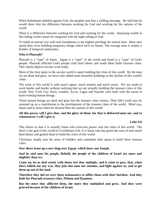When Rehoboam rebelled against God, the prophet sent him a chilling message. He told him he would show him the difference between working for God and working for the nations of the world.

There is a difference between working for God and working for the world. Amassing wealth in this fading world cannot be compared with the high calling of God.

To build an eternal city with real foundations is the highest privilege for mortal man. Most men spend their lives building temporary things which have no future. The average man is simply a builder of temporal sandcastles.

## **Who Is Pharaoh?**

Pharaoh is a "type" of Satan. Egypt is a "type" of the world and Israel is a "type" of God's people. Pharaoh afflicted God's people with hard labour and made them build treasure cities. This clearly depicts secular work today.

Most of the time spent in the secular world is spent building the cities of this world. By the time we are dead and gone, we have only added more beautiful buildings to the skyline of this world's cities.

The work of this world is with much rigour, much tension and much sweat. We are made to work harder and harder without realizing that we are actually building the treasure cities of this world. New York City, Paris, London, Accra, Lagos and Nairobi were built with the sweat of hard-working human beings.

These human beings are dead and gone but the treasure cities remain. Their life's work may be summed up as a contribution to the development of the treasure cities of the world. Mind you, Satan said to Jesus when he showed Him the nations of this world:

## **All this power will I give thee, and the glory of them: for that is delivered unto me; and to whomsoever I will I give it.**

#### **Luke 4:6**

This shows us that it is actually Satan who exercises power over the cities of this world. The devil is the god of this world (2 Corinthians 4:4). It is Satan who has given the sons of men much hard labour and guided them to build the cities of this world.

Christians simply join the army of builders and contribute their quota to build these treasure cities.

**Now there arose up a new king over Egypt, which knew not Joseph.** 

**And he said unto his people, Behold, the people of the children of Israel are more and mightier than we:** 

**Come on, let us deal wisely with them; lest they multiply, and it come to pass, that, when there falleth out any war, they join also unto our enemies, and fight against us, and so get them up out of the land.**

**Therefore they did set over them taskmasters to afflict them with their burdens. And they built for Pharaoh treasure cities, Pithom and Raamses.**

**But the more they afflicted them, the more they multiplied and grew. And they were grieved because of the children of Israel.**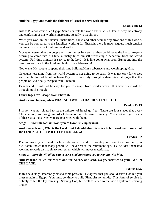## **And the Egyptians made the children of Israel to serve with rigour:**

#### **Exodus 1:8-13**

Just as Pharaoh controlled Egypt, Satan controls the world and its cities. That is why the entropy and confusion of this world is increasing steadily to its climax.

When you work in the financial institutions, banks and other secular organizations of this world, you can be compared to the Israelites working for Pharaoh; there is much rigour, much tension and much sweat about building sandcastles.

Moses requested that the people of Israel be set free so that they could serve the Lord. Anyone desiring to come into full-time ministry finds himself requesting a departure from the world system. Full-time ministry is service to the Lord! It is like going away from Egypt and into the desert to sacrifice to the Lord and build Him a tabernacle!

God wants His people to spend their time building Him a tabernacle and worshipping Him.

Of course, escaping from the world system is not going to be easy. It was not easy for Moses and the children of Israel to leave Egypt. It was only through a determined struggle that the people of God finally escaped from Pharaoh.

Dear friend, it will not be easy for you to escape from secular work. If it happens it will be through much struggle.

#### **Four Stages for Escape from Pharaoh**

#### **And it came to pass, when PHARAOH WOULD HARDLY LET US GO...**

#### **Exodus 13:15**

Pharaoh was not pleased to let the children of Israel go free. There are four stages that every Christian may go through in order to break out into full-time ministry. You must recognize each of these situations when you are presented with them.

#### **Stage 1:** *Pharaoh does not want you to leave his employment.*

## **And Pharaoh said, Who is the Lord, that I should obey his voice to let Israel go? I know not the Lord, NEITHER WILL I LET ISRAEL GO.**

#### **Exodus 5:2**

Pharaoh wants you to work for him until you are dead. He wants you to sweat and toil until you die. Satan knows that many people will never reach the retirement age. He deludes them into working towards an imaginary retirement which will never materialize.

#### **Stage 2:** *Pharaoh will allow you to serve God but wants you to remain with him.*

#### **And Pharaoh called for Moses and for Aaron, and said, Go ye, sacrifice to your God IN THE LAND.**

#### **Exodus 8:25**

In this next stage, Pharaoh yields to some pressure. He agrees that you should serve God but you must remain in Egypt. You must continue to build Pharaoh's pyramids. This form of service is politely called the lay ministry. Serving God, but well fastened to the world system of earning money!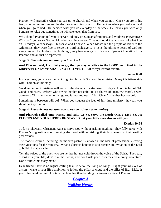Pharaoh will prescribe when you can go to church and when you cannot. Once you are in his land, you belong to him and he decides everything you do. He decides when you wake up and when you go to bed. He decides what you do everyday of the week. He leaves you with only Sundays to relax but sometimes he will take even that from you.

Why should Pharaoh tell you to serve God only on Sunday afternoons and Wednesday evenings? Why can't you serve God on Monday mornings as well? Why should Pharaoh control what I do on Tuesdays, Wednesdays, Thursdays and Fridays? When Moses led the people of Israel to the wilderness, they were free to serve the Lord exclusively. This is the ultimate desire of God for every one of His children. Sadly though, very few ever get to this state of perfect liberation from Pharaoh and all that he represents.

#### **Stage 3:** *Pharaoh does not want you to go too far.*

## **And Pharaoh said, I will let you go, that ye may sacrifice to the LORD your God in the wilderness; ONLY YE SHALL NOT GO VERY FAR away: intreat for me.**

## **Exodus 8:28**

In stage three, you are warned not to go too far with God and the ministry. Many Christians side with Pharaoh at this stage.

Good and moral Christians will warn of the dangers of extremism. Today's church is full of "Mr Good" and "Mrs. Perfect" who are neither hot nor cold. It is a church of "mature," moral, neverdo-wrong Christians who neither go too far nor too near! "Mr. Clean" is neither hot nor cold!

Something in between will do! When you suggest the idea of full-time ministry, they say you should not go too far.

#### **Stage 4:** *Pharaoh does not want you to risk your finances in ministry.*

## **And Pharaoh called unto Moses, and said, Go ye, serve the Lord; ONLY LET YOUR FLOCKS AND YOUR HERDS BE STAYED: let your little ones also go with you.**

#### **Exodus 10:24**

Today's lukewarm Christians want to serve God without risking anything. They fully agree with Pharaoh's suggestion about serving the Lord without risking their businesses or their earthly possessions.

The modern church, including the modern pastor, is amazed at the idea of professionals leaving their vocations for the ministry. What a glorious honour it is to receive an invitation of the Lord to build His tabernacle!

Yet, the voices of the ones who are neither hot nor cold drown the voice of the Spirit. They say, "Don't risk your life, don't risk the flocks, and don't risk your resources on a crazy adventure. Don't follow this crazy man."

Dear friend, there is no higher calling than to serve the King of Kings. Fight your way out of prison. Make it your life's ambition to follow the pillar of cloud and the pillar of fire. Make it your life's work to build His tabernacle rather than building the treasure cities of Pharaoh

# <span id="page-7-0"></span>*[Chapter 4](#page-1-0)*

# *[Walking Worthy](#page-1-0)*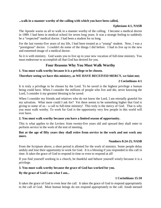## **...walk in a manner worthy of the calling with which you have been called,**

## **Ephesians 4:1, NASB**

The Apostle warns us all to walk in a manner worthy of the calling. I became a medical doctor in 1989. I had been in medical school for seven long years. It was a strange feeling to suddenly be a "respected" medical doctor. I had been a student for so long.

For the last twenty-five years of my life, I had been treated as a "young" student. Now, I was a "prestigious" doctor. I couldn't do some of the things I did before. I had to live up to the new and esteemed image of a medical doctor.

So it is with ministry. God wants you to live up to your new vocation of full-time ministry. You must endeavour to accomplish all that God has desired for you.

# **Four Reasons Why You Must Walk Worthy**

## **1. You must walk worthy because it is a privilege to be chosen.**

## **Therefore seeing we have this ministry, as WE HAVE RECEIVED MERCY, we faint not;**

## **2 Corinthians 4:1**

It is truly a privilege to be chosen by the Lord. To be saved is the highest privilege a human being could have. When I consider the millions of people who live and die, never knowing the Lord, I consider it my greatest blessing to be saved.

When I consider my friends and relatives who do not know the Lord, I am eternally grateful for my salvation. What more could I ask for? Yet there seems to be something higher that God is giving to some of us - a call to full-time ministry! This truly is the mercy of God. That is why you must walk worthy. To work for God is the opportunity very few people in this world will ever have.

## **2. You must walk worthy because you have a limited season of opportunity.**

This is what applies to the Levites: from twenty-five years old and upward they shall enter to perform service in the work of the tent of meeting.

## **But at the age of fifty years they shall retire from service in the work and not work any more.**

#### **Numbers 8:24-25, NASB**

From the Scripture above, a short period is allotted for the work of ministry. Some people delay unduly and lose their opportunity to work for God. It is a blessing if you responded to this call in time. It takes the grace of God to respond in time or even to respond at all!

If you find yourself working in a church, be thankful and behave yourself wisely because it is a privilege.

## **3. You must walk worthy because the grace of God has worked for you.**

## **By the grace of God I am what I am...**

## **1 Corinthians 15:10**

It takes the grace of God to even hear the call. It takes the grace of God to respond appropriately to the call of God. Most human beings do not respond appropriately to the call. Jonah messed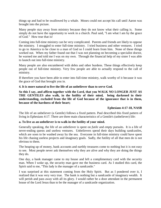things up and had to be swallowed by a whale. Moses could not accept his call until Aaron was brought into the picture.

Many people stay away from ministry because they do not know what their calling is. Some simply do not have the opportunity to work in a church. Paul said, "I am what I am by the grace of God." How true that is!

Coming into full-time ministry can be very complicated. Parents and friends are likely to oppose the ministry. I struggled to enter full-time ministry. I tried business and other ventures. I tried to go to America to be close to a man of God so I could learn from him. None of these things worked out. When my father found out that I was not planning on becoming a specialist doctor, he warned me and told me I was on my own. Through the financial help of my sister I was able to launch out into full-time ministry.

Many people are also encumbered with debts and other burdens. These things effectively keep people out of full-time ministry. Very few people are able to actually respond to the call of ministry.

If therefore you have been able to enter into full-time ministry, walk worthy of it because it was the grace of God that brought you in.

**4. It is more natural to live the life of an unbeliever than to serve God.**

**So this I say, and affirm together with the Lord, that you WALK NO LONGER JUST AS THE GENTILES also walk, in the futility of their mind, being darkened in their understanding, excluded from the life of God because of the ignorance that is in them, because of the hardness of their heart;** 

## **Ephesians 4:17-18, NASB**

The life of an unbeliever (a Gentile) follows a fixed pattern. Paul described this fixed pattern of living in Ephesians 4:17. There are three main characteristics of a Gentile's (unbeliever) life:

#### **a. To live as an unbeliever is to walk in the futility of your mind.**

Generally speaking, the life of an unbeliever is spent on *futile* and *empty* pursuits. It is a life of never-ending quests and useless ventures. Unbelievers spend their days building sandcastles, which are soon to be washed away by the sea. Everyone in full-time ministry could have spent his life chasing useless projects and imaginary goals. Sadly, the futility of all that men do is not obvious to them.

The heaping up of money, bank accounts and earthly treasures come to nothing but it is not easy to see. Most people never ask themselves why they are alive and why they are doing the things they do.

One day, a bank manager came to my house and left a complimentary card with the security man. When I woke up, the security man gave me the business card. As I studied this card, the Spirit said to me, "This lady is the manager of a sandcastle."

I was surprised at this statement coming from the Holy Spirit. But as I pondered over it, I realized that it was very very true. The bank is nothing but a sandcastle of imaginary wealth. It will perish and pass away with all its glory. I would rather be a door attendant in the permanent house of the Lord Jesus than to be the manager of a sandcastle organization.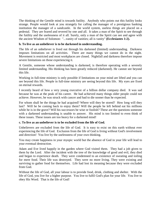The thinking of the Gentile mind is towards futility. Anybody who points out this futility looks strange. People would look at you strangely for calling the manager of a prestigious banking institution the manager of a sandcastle. In the world system, useless things are placed on a pedestal. They are feared and revered by one and all. It takes a man of the Spirit to see through the futility and the uselessness of it all. Surely, only a man of the Spirit can see and agree with the ancient Wisdom of Solomon: "...vanity of vanities; all is vanity" **(Ecclesiastes 1:2).**

## **b. To live as an unbeliever is to be darkened in understanding.**

The life of an unbeliever is lived out through his darkened (limited) understanding. Darkness imposes limitations on all activities. There are many things we cannot do in the night. Movement is restricted and most workplaces are closed. Nightfall and darkness therefore impose severe limitations on those experiencing it.

A Gentile, someone whose understanding is darkened, is therefore operating with a severely limited understanding. His thinking has been greatly reduced (darkened). He cannot see beyond this life.

Working in full-time ministry is only possible if limitations on your mind are lifted and you can see beyond this life. People in full-time ministry are seeing beyond this life. My eyes are fixed on eternal rewards.

I recently heard of how a very young executive of a billion dollar company died. It was sad because he was at the peak of his career. He had achieved many things older people could not achieve. However, he was struck with cancer and had to die sooner than he expected.

For whom shall be the things he had acquired? Where will they be stored? How long will they last? Will he be coming back to enjoy them? Will the people he left behind eat his millions while he is in the grave? Will his successors be wise or foolish? These are the questions someone with a darkened understanding is unable to answer. His mind is too limited to even think of these issues. These issues are too heavy for a darkened mind!

## **c. To live as an unbeliever is to be excluded from the life of God.**

Unbelievers are excluded from the life of God. It is easy to exist on this earth without ever experiencing the life of God. Exclusion from the life of God is living without God's involvement and direction! You live by the uselessness of your own thinking.

You may create happiness in your myopic world but the absence of God in your life will lead to your eventual destruction.

Adam and Eve lived happily in the garden where God visited them. They had a job given to them by the Lord. After the incident with the tree of the knowledge of good and evil, they died and began to experience death. They were condemned to an existence of sweating and toiling for mere food. Their life was destroyed. They were no more living. They were existing and surviving to gather food for themselves. Life had lost its meaning because they were excluded from God.

Without the life of God, all your labour is to provide food, drink, clothing and shelter. With the life of God, you live for a higher purpose. You live to fulfil God's plan for your life. You live to obey His Word. That is the life of God!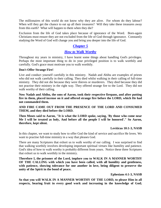The millionaires of this world do not know why they are alive. For whom do they labour? When will they get the chance to eat up all their treasures? Will they take these treasures away from this earth? What will happen to them when they die?

Exclusion from the life of God takes place because of ignorance of the Word. Born-again Christians must ensure they are not excluded from the life of God through ignorance. Constantly studying the Word of God will change you and bring you deeper into the life of God.

# <span id="page-11-0"></span>*[Chapter 5](#page-1-0)*

# *[How to Walk Worthy](#page-1-0)*

Throughout my years in ministry, I have learnt some things about handling God's privileges. Perhaps the most important thing to do in your privileged position is to walk worthily and carefully. God's grace must motivate you to walk worthily.

## **Don't Offer Strange Fire!**

Live and conduct yourself carefully in this ministry. Nadab and Abihu are examples of priests who did not walk carefully in their calling. They died whilst walking in their calling of full-time ministry. They did not die because they were thieves or murderers. They died because they did not practise their ministry in the right way. They offered strange fire to the Lord. They did not walk worthy of their calling.

**Now Nadab and Abihu, the sons of Aaron, took their respective firepans, and after putting fire in them, placed incense on it and offered strange fire before the LORD, which He had not commanded them.** 

**AND FIRE CAME OUT FROM THE PRESENCE OF THE LORD AND CONSUMED THEM, and they died before the LORD.** 

**Then Moses said to Aaron, "It is what the LORD spoke, saying, 'By those who come near Me I will be treated as holy, And before all the people I will be honored'." So Aaron, therefore, kept silent.** 

#### **Leviticus 10:1-3, NASB**

In this chapter, we want to study how to offer God the kind of service and sacrifice He loves. We want to practise full-time ministry in a way that pleases God.

There are many Scriptures that exhort us to walk worthy of our calling. I was surprised to find that walking worthily involves developing important spiritual virtues like humility and patience. God's idea of how to walk worthy is probably different from yours. Notice these three Scriptures that exhort us to walk worthily in the ministry.

**Therefore I, the prisoner of the Lord, implore you to WALK IN A MANNER WORTHY OF THE CALLING with which you have been called, with all humility and gentleness, with patience, showing tolerance for one another in love, being diligent to preserve the unity of the Spirit in the bond of peace.** 

**Ephesians 4:1-3, NASB**

**So that you will WALK IN A MANNER WORTHY OF THE LORD, to please Him in all respects, bearing fruit in every good work and increasing in the knowledge of God;**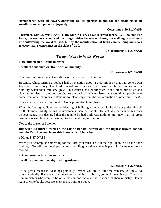**strengthened with all power, according to His glorious might, for the attaining of all steadfastness and patience; joyously** 

**Colossians 1:10-11, NASB**

**Therefore, SINCE WE HAVE THIS MINISTRY, as we received mercy, WE DO not lose heart, but we have renounced the things hidden because of shame, not walking in craftiness or adulterating the word of God, but by the manifestation of truth commending ourselves to every man's conscience in the sight of God.** 

**2 Corinthians 4:1-2, NASB**

## **Twenty Ways to Walk Worthy**

#### **1. Be humble in full-time ministry.**

#### **...walk in a manner worthy…with all humility...**

#### **Ephesians 4:1-2, NASB**

The most important way of walking worthy is to walk in humility.

Recently, whilst writing a book, I had a revelation about a great ministry that had gone down from its former glory. The Lord showed me in a flash that those people had not walked in humility when their ministry grew. This church had publicly criticized other ministries and ridiculed ministers from their pulpit. At the peak of their ministry, they would ask people who came from other churches to stand up for cleansing (from the contamination of other ministries).

There are many ways to respond to God's promotion in ministry.

When the Lord gave Solomon the blessing of building a mega temple, he did not praise himself or think more highly of his achievements than he should. He actually demeaned his own achievements. He declared that the temple he had built was nothing. He knew that his great temple was simply a human attempt to do something for the Lord.

Notice the prayer of Solomon:

## **But will God indeed dwell on the earth? Behold, heaven and the highest heaven cannot contain You, how much less this house which I have built!**

#### **1 Kings 8:27, NASB**

When you accomplish something for the Lord, you must see it in the right light. You have done nothing! God did not need you or me It is His grace that makes it possible for us even to be around.

#### **2. Gentleness in full-time ministry**

#### **...walk in a manner worthy…with gentleness...**

#### **Ephesians 4:1-2, NASB**

To be gentle means to do things gradually. When you are in full-time ministry you must do things gradually. If you try to achieve certain heights in a hurry, you will have disaster. There are new ministers who want to be on television and radio in the first part of their ministry. Others want to write books because everyone is writing a book.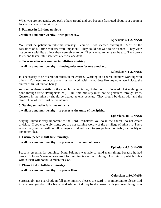When you are not gentle, you push others around and you become frustrated about your apparent lack of success in the ministry.

### **3. Patience in full-time ministry**

#### **...walk in a manner worthy…with patience...**

## **Ephesians 4:1-2, NASB**

You must be patient in full-time ministry. You will not succeed overnight. Most of the casualties of full-time ministry were impatient. They could not wait to be bishops. They were not content with little things they were given to do. They wanted to hurry to the top. They drove faster and faster until there was a terrible accident.

#### **4. Tolerance for one another in full-time ministry**

#### **...walk in a manner worthy…showing tolerance for one another...**

#### **Ephesians 4:1-2, NASB**

It is necessary to be tolerant of others in the church. Working in a church involves working with others. You need to accept others as you work with them. Just like any other workplace, the church is full of human beings.

As soon as there is strife in the church, the anointing of the Lord is hindered. Let nothing be done through strife (Philippians 2:3). Full-time ministry must not be practiced through strife. Quarrels in the ministry should be treated as emergencies. They should be dealt with and the atmosphere of love must be maintained.

#### **5. Staying united in full-time ministry**

#### **...walk in a manner worthy…to preserve the unity of the Spirit...**

#### **Ephesians 4:1, 3 NASB**

Staying united is very important to the Lord. Whatever you do in the church, do not create division. If you create divisions, you are not walking worthy of the privilege of ministry. There is one body and we will not allow anyone to divide us into groups based on tribe, nationality or any other idea.

#### **6. Ensure peace in full-time ministry.**

#### **...walk in a manner worthy…to preserve…the bond of peace.**

#### **Ephesians 4:1, 3 NASB**

Peace is essential for building. King Solomon was able to build many things because he had peace. Solomon's armies were used for building instead of fighting. Any ministry which fights within itself will not build much for God.

#### **7. Please God in full-time ministry.**

#### **...walk in a manner worthy…to please Him...**

#### **Colossians 1:10, NASB**

Surprisingly, not everybody in full-time ministry pleases the Lord. It is important to please God in whatever you do. Like Nadab and Abihu, God may be displeased with you even though you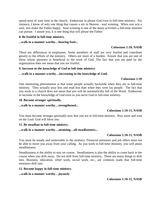spend most of your time in the church. Endeavour to please God even in full-time ministry. For instance, I know of only one thing that causes a stir in Heaven - soul winning. When you win a soul, you make the Father happy. Soul winning is one of the many activities a full-time minister can pursue. I assure you, it is one thing that will please the Father.

### **8. Be fruitful in full-time ministry.**

## **...walk in a manner worthy…bearing fruit...**

## **Colossians 1:10, NASB**

There are differences in employees. Some members of staff are very fruitful and contribute greatly to the efforts of the ministry. Others are more of a burden. Ensure that you are one of those whose presence is beneficial to the work of God. The fact that you are paid by the organization does not mean that you are fruitful.

#### **9. Increase in the knowledge of God in full-time ministry.**

## **…walk in a manner worthy…increasing in the knowledge of God;**

#### **Colossians 1:10**

One interesting phenomenon is that some people actually backslide when they are in full-time ministry. They actually pray less and read less than when they were lay people. The fact that you work in a church does not mean that you will be automatically full of the Word. Endeavour to increase in the knowledge of God even as you serve God in full-time ministry.

#### **10. Become stronger spiritually.**

#### **...walk in a manner worthy…strengthened...**

#### **Colossians 1:10-11, NASB**

You must become stronger spiritually now that you are in full-time ministry. Pray more and wait on the Lord. God will bless you.

#### **11. Be steadfast in full-time ministry.**

#### **...walk in a manner worthy…attaining…all steadfastness...**

#### **Colossians 1:10-11, NASB**

You must be steady and unmovable in the ministry. Financial pressures and job offers must not be able to move you away from your calling. As you work in full-time ministry, you will attain steadfastness.

Steadfastness is the ability to stay on course. Steadfastness is also the ability to come back to the course when you drift away. Do not drift from full-time ministry. There are many things to drift into. Business, education, relief work, social work, etc., are common roads that full-time ministers drift into.

#### **12. Become happy in full-time ministry.**

#### **...walk in a manner worthy…joyously**

**Colossians 1:10-11, NASB**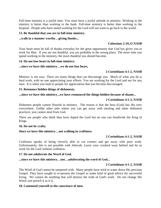Full-time ministry is a joyful time. You must have a joyful attitude in ministry. Working in the ministry is better than working in the bank. Full-time ministry is better than working in the hospital. People who have tasted working for the Lord will not want to go back to the world.

## **13. Be thankful that you are in full-time ministry.**

#### **...walk in a manner worthy…giving thanks...**

## **Colossians 1:10,12 NASB**

Your heart must be full of thanks everyday for the great opportunity that God has given you to work for Him. If you are not thankful, you are probably in the wrong place. The more time you spend working in the ministry, the more thankful you should become.

#### **14. Do not lose heart in full-time ministry.**

#### **...since we have this ministry…we do not lose heart,**

## **2 Corinthians 4:1-2, NASB**

Ministry is not easy. There are many things that can discourage you. Much of what you do is hard work, with no one appreciating your efforts. You are working for the Lord and not for any man. It is when you look to people for appreciation that you become discouraged.

#### **15. Renounce hidden things of dishonesty.**

#### **...since we have this ministry...we have renounced the things hidden because of shame...**

## **2 Corinthians 4:1-2, NASB**

Dishonest people cannot flourish in ministry. The reason is that the boss (God) has His eyes everywhere. Unlike other jobs where you can get away with stealing and other dishonest practices, you cannot steal from God.

There are people who think they have duped the Lord but no one can hoodwink the King of Kings.

#### **16. Do not be crafty.**

#### **Since we have this ministry…not walking in craftiness**

## **2 Corinthians 4:1-2, NASB**

Craftiness speaks of being cleverly able to cut corners and get away with poor work. Unfortunately, this is not possible with Jehovah. Leave your crooked ways behind and let us work for the Lord without craftiness.

#### **17. Do not adulterate the Word of God.**

#### **...since we have this ministry…not…adulterating the word of God...**

## **2 Corinthians 4:1-2, NASB**

The Word of God cannot be tampered with. Many people have tried to water down His precious Gospel. They have sought to re-present the Gospel as some kind of good advice for successful living. We cannot do anything that will destroy the truth of God's work. Do not change His Word; just preach it as it is.

#### **18. Commend yourself to the conscience of men.**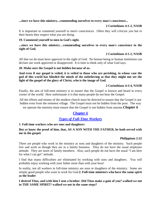**...since we have this ministry...commending ourselves to every man's conscience...**

## **2 Corinthians 4:1-2, NASB**

It is important to commend yourself to men's consciences. Often they will criticize you but in their hearts they respect what you are doing.

## **19. Commend yourself to men in God's sight.**

**...since we have this ministry…commending ourselves to every man's conscience in the sight of God.** 

## **2 Corinthians 4:1-2, NASB**

All that we do must have approval in the sight of God. No human being or human institution can declare our work approved or disapproved. It is time to think only of what God says.

#### **20. Make sure the Gospel is not hidden because of us.**

**And even if our gospel is veiled, it is veiled to those who are perishing, in whose case the god of this world has blinded the minds of the unbelieving so that they might not see the light of the gospel of the glory of Christ, who is the image of God.** 

## **2 Corinthians 4:3-4, NASB**

Finally, the aim of full-time ministry is to ensure that the Gospel is known and heard in every corner of the world. How unfortunate it is that many people do not hear the Gospel.

All the efforts and money of the modern church must be directed to ensure that the Gospel is not hidden even from the remotest village. The Gospel must not be hidden from the poor. The way

we operate the ministry must ensure that the Gospel is not hidden from anyone.*Chapter 6*

# <span id="page-16-0"></span>*[Chapter 6](#page-1-0)*

# *[Types of Full-Time Workers](#page-1-0)*

## **1. Full-time workers who are sons and daughters**

## **But ye know the proof of him, that, AS A SON WITH THE FATHER, he hath served with me in the gospel.**

#### **Philippians 2:22**

There are people who work in the ministry as sons and daughters of the ministry. Such people live and work as though they are in a family business. They do not have the usual employee attitude. They are more of family members. Also, such people do not have the usual "I am here for what I can get" attitude.

I find that many difficulties are eliminated by working with sons and daughters. You will probably enjoy working with your father more than with your boss!

In reality, not all workers in full-time ministry are sons or daughters of the ministry. Some are simply good people who want to work for God.**2. Full-time ministers who have the same spirit as the leader**

**I desired Titus, and with him I sent a brother. Did Titus make a gain of you? walked we not in THE SAME SPIRIT? walked we not in the same steps?**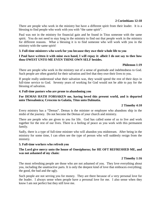There are people who work in the ministry but have a different spirit from their leader. It is a blessing to find people who work with you with "the same spirit".

Paul was not in the ministry for financial gain and he found in Titus someone with the same spirit. You do not need to stay long in the ministry to find out that people work in the ministry for different reasons. What a blessing it is to find someone who will work with you in the ministry with the same spirit!

## **3. Full-time ministers who work for you because they owe their whole life to you**

#### **I Paul have written it with mine own hand, I will repay it: albeit I do not say to thee how thou OWEST UNTO ME EVEN THINE OWN SELF besides.**

#### **Philemon 1:19**

There are people who work in the ministry out of a sense of gratitude and indebtedness to God. Such people are often grateful for their salvation and feel that they owe their lives to you.

If people really understood what their salvation was, they would spend the rest of their days in full-time service to God. Seventy years of working for God would not be able to pay for the blessing of salvation.

#### **4. Full-time pastors who are prone to abandoning you**

## **For DEMAS HATH FORSAKEN me, having loved this present world, and is departed unto Thessalonica; Crescens to Galatia, Titus unto Dalmatia.**

#### **2 Timothy 4:10**

Every ministry has a "Demas". Demas is the minister or employee who abandons ship in the midst of the journey. Do not become the Demas of your church and ministry.

There are people who are given to you for life. God has called some of us to live and work together for the rest of our lives. There is a feeling of peace as you work with this permanent family.

Sadly, there is a type of full-time minister who will abandon you midstream. After being in the ministry for some time, I can often see the type of person who will suddenly resign from the ministry.

#### **5. Full-time workers who refresh you**

## **The Lord give mercy unto the house of Onesiphorus; for HE OFT REFRESHED ME, and was not ashamed of my chain:**

#### **2 Timothy 1:16**

The most refreshing people are those who are not ashamed of you. They love everything about you, including the unattractive parts. It is only the deepest kind of love that embraces everything; the good, the bad and the ugly.

Such people are not serving you for money. They are there because of a very personal love for the leader. I always sense when people have a personal love for me. I also sense when they know I am not perfect but they still love me.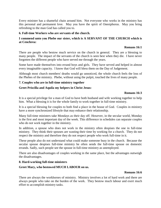Every minister has a shameful chain around him. Not everyone who works in the ministry has this personal and permanent love. May you have the spirit of Onesiphorus. May you bring refreshing to the man God has called you to.

## **6. Full-time Workers who are servants of the church.**

## **I commend unto you Phebe our sister, which is A SERVANT OF THE CHURCH which is at Cenchrea:**

## **Romans 16:1**

There are people who bestow much service on the church in general. They are a blessing to many people. The impact of the servants of the church is seen best when they die. I have never forgotten the different people who have served me through the years.

Some have made themselves into errand boys and girls. They have served and helped in almost every imaginable capacity. I know that God will bless them on the Day of Judgement.

Although most church members' deaths would go unnoticed, the whole church feels the loss of the Phebes of the ministry. Phebe, without using the pulpit, touched the lives of many people.

## **7. Couples who are in full-time ministry together**

## **Greet Priscilla and Aquila my helpers in Christ Jesus:**

## **Romans 16:3**

It is a special privilege for a man of God to have both husband and wife working together to help him. What a blessing it is for the whole family to work together in full-time ministry.

It is a special blessing for couples to both find a place in the house of God. Couples in ministry have a more synchronized lifestyle that may enhance their relationship.

Many full-time ministers take Mondays as their day off. However, in the secular world, Monday is the first and most important day of the week. This difference in schedules can separate couples who do not work together in the ministry.

In addition, a spouse who does not work in the ministry often despises the one in full-time ministry. They think their spouses are wasting their time by working for a church. They do not respect the ministry and therefore they do not respect people who work full-time in it.

These people also do not understand what could make someone busy in the church. Because the secular spouse despises full-time ministry he often sends the full-time spouse on domestic errands. Sadly, such people see the spouse in full-time ministry as unemployed.

There are also disadvantages of couples working in the same place, but the advantages outweigh the disadvantages.

#### **8. Hard-working full-time ministers**

## **Greet Mary, who bestowed MUCH LABOUR on us.**

#### **Romans 16:6**

There are always the workhorses of ministry. Ministry involves a lot of hard work and there are always people who take on the burden of the work. They bestow much labour and exert much effort to accomplish ministry tasks.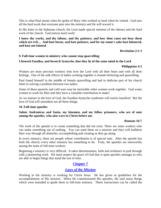This is what Paul meant when he spoke of Mary who worked so hard when he visited. God sees all the hard work that everyone puts into the ministry and He will reward it.

In His letter to the Ephesian church, the Lord made special mention of the labours and the hard work of the church. God notices hard work!

## **I know thy works, and thy labour, and thy patience, and how thou canst not bear them which are evil… And hast borne, and hast patience, and for my name's sake hast laboured, and hast not fainted.**

**Revelation 2:2-3** 

## **9. Full-time women in ministry who cannot stop quarrelling**

## **I beseech Euodias, and beseech Syntyche, that they be of the same mind in the Lord**

## **Philippians 4:2**

Women are most precious workers who love the Lord with all their heart and with all their feelings. One of the side effects of ladies working together is female bickering and quarrelling.

Paul found himself in the middle of female quarrelling and had to dedicate part of his church letter to solving a problem between two ladies.

Some of these quarrels and cold wars may be inevitable when women work together. God wants women to work for Him and they have a valuable contribution to make!

As we mature in the love of God, the Euodias-Syntyche syndrome will surely manifest! But the love of God will smoothen out all these things.

#### **10. Full-time apostles**

**Salute Andronicus and Junia, my kinsmen, and my fellow prisoners, who are of note among the apostles, who also were in Christ before me.** 

#### **Romans 16:7**

The work of the apostle is to create something that did not exist. There are some workers who can make something out of nothing. You can send them on a mission and they will bulldoze their way through all obstacles, accomplishing and creating as they go along.

In every ministry, there are people whose contribution is of special note. After the apostle has built the church, every other ministry has something to do. Truly, the apostles are noteworthy among the team of full-time workers.

Beginning a ministry is very difficult. It takes determination, faith and resilience to pull through with a pioneering work. We must respect the grace of God that is upon apostles amongst us who are able to begin things that stand the test of time.

# <span id="page-19-0"></span>*[Chapter 7](#page-1-0)*

# *[Laws of the Mission](#page-1-0)*

Working in the ministry is working for Christ Jesus. He has given us guidelines for the accomplishment of His mission. When He commissioned His apostles, He said many things which were intended to guide them in full-time ministry. These instructions can be called the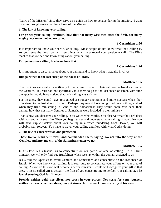"Laws of the Mission" since they serve as a guide on how to behave during the mission. I want us to go through several of these Laws of the Mission.

#### **1. The law of knowing your calling**

#### **For ye see your calling, brethren, how that not many wise men after the flesh, not many mighty, not many noble, are called:**

#### **1 Corinthians 1:26**

It is important to know your particular calling. Most people do not know what their calling is. As you serve the Lord, you will see things which help reveal your particular call. The Bible teaches that you see and know things about your calling.

#### **For ye see your calling, brethren, how that…**

#### **1 Corinthians 1:26**

It is important to discover a lot about your calling and to know what it actually involves.

#### **But go rather to the lost sheep of the house of Israel.**

#### **Matthew 10:6**

The disciples were called specifically to the house of Israel. Their call was to Israel and not to the Gentiles. If Jesus had not specifically told them to go to the lost sheep of Israel, with time the apostles would have noticed that their calling was to Israel.

For instance, they could have recognized a stronger anointing and more success when they ministered to the lost sheep of Israel. Perhaps they would have recognized how nothing worked when they tried ministering to Gentiles and Samaritans! They would soon have seen their calling; how that not many Gentiles or Samaritans were included in their ministry.

That is how you discover your calling. You watch what works. You observe what the Lord does with you and with your life. Then you begin to see and understand your calling. If you think you will have explicit details about your calling in a voice thundering from Heaven, you will probably wait forever. You have to watch your calling and flow with what God is doing.

#### **2. The law of concentration and perfection**

#### **These twelve Jesus sent forth, and commanded them, saying, Go not into the way of the Gentiles, and into any city of the Samaritans enter ye not:**

#### **Matthew 10:5**

In this law, Jesus teaches us to concentrate on our particular area of calling. In full-time ministry, we will only find true fruitfulness when we stay within the domain assigned to us.

Jesus told the Apostles to avoid Gentiles and Samaritans and concentrate on the lost sheep of Israel. When you know your calling, it is your duty to concentrate your efforts on your area of calling. As you do this you will become a better minister. People will recognize your gift in that area. This so-called gift is actually the fruit of you concentrating to perfect your calling. **3. The law of trusting God for finances** 

**Provide neither gold, nor silver, nor brass in your purses, Nor scrip for your journey, neither two coats, neither shoes, nor yet staves: for the workman is worthy of his meat.**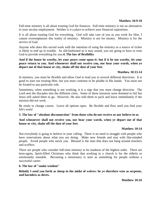Full-time ministry is all about trusting God for finances. Full-time ministry is not an alternative to your secular employment. Neither is it a place to achieve your financial aspirations.

It is all about trusting God for everything. God will take care of you as you work for Him. I cannot overemphasize this reality of ministry. Ministry is not for money. Ministry is for the service of God.

Anyone who does this sacred work with the intention of using the ministry as a source of riches is likely to end up in trouble. As old-fashioned as it may sound, you are going to have to trust God to provide everything for you.**4. The law of flexibility**

**And if the house be worthy, let your peace come upon it: but if it be not worthy, let your peace return to you. And whosoever shall not receive you, nor hear your words, when ye depart out of that house or city, shake off the dust of your feet.** 

## **Matthew 10:13-14**

In ministry, you must be flexible and allow God to lead you in several different directions. It is good to start out trusting Him, but you must continue to be pliable in His hands. You must not be fixated to any particular role.

Sometimes, when something is not working, it is a sign that you must change direction. The Lord sent the disciples into the different cities. Some of these missions were doomed to fail but Jesus still asked them to go. However, He also told them to pack and leave immediately if the mission did not work.

Be ready to change course. Leave all options open. Be flexible and flow until you find your life's work!

#### **5. The law of "absolute disconnection" from those who do not receive us nor believe in us**

**And whosoever shall not receive you, nor hear your words, when ye depart out of that house or city, shake off the dust of your feet.** 

#### **Matthew 10:14**

Not everybody is going to believe in your calling. There is no need to struggle with people who have reservations about what you are doing. Make new friends and stay with like-minded people. Avoid people who mock you. Blessed is the man that does not hang around mockers and scoffers.

There are people who consider full-time ministry to be madness of the highest order. There are born-again, Spirit-filled Christians who think that working in a church is for the elderly or emotionally unstable. Becoming a missionary is seen as something for people without a successful career.

#### **6. The law of "snake wisdom"**

**Behold, I send you forth as sheep in the midst of wolves: be ye therefore wise as serpents, and harmless as doves.** 

**Matthew 10:16**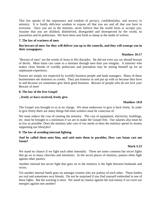This law speaks of the importance and wisdom of privacy, confidentiality, and secrecy in ministry. It is fatally deficient wisdom to expose all that you are and all that you have to everyone. Once you are in the ministry, never believe that the world loves or accepts you. Assume that you are disliked, disbelieved, disregarded and disrespected by the world, its journalists and its politicians. We have been sent forth as sheep in the midst of wolves.

## **7. The law of wariness of men**

## **But beware of men: for they will deliver you up to the councils, and they will scourge you in their synagogues;**

## **Matthew 10:17**

"Beware of men" are the words of Jesus to His disciples. He did not even say we should beware of devils. More harm can come to a minister through men than you imagine. A minister who makes close friends of worldly politicians and journalists may be setting himself up for an unpleasant experience.

Pastors are simply not respected by worldly business people and bank managers. Many of these businessmen see ministers as crooks. They just humour us and put up with us because they have to and because we sometimes give them good business. Beware of people who do not love you! Beware of men!

## **8. The law of the free Gospel**

## **...freely ye have received, freely give.**

## **Matthew 10:8**

The Gospel was brought to us at no charge. We must endeavour to give it back freely. In order to give freely there are many things full-time workers must be conscious of.

We must reduce the cost of running the ministry. The cost of equipment, electricity, buildings, etc. must be brought to a minimum if we are to make the Gospel free. Our salaries also must be as low as possible. Does the ministry take care of our needs or does the ministry spend its money supporting our lifestyles?

#### **9. The law of avoiding internal fighting**

## **And he called them unto him, and said unto them in parables, How can Satan cast out Satan?**

#### **Mark 3:23**

We stand no chance if we fight each other internally. There are some common but secret fights that go on in many churches and ministries. In the secret places of ministry, pastors often fight against other pastors.

Another internal but secret fight that goes on in the ministry is the fight between husbands and wives.

Yet another internal battle goes on amongst women who are jealous of each other. These battles are real and sometimes very bloody. Do not be surprised if you find yourself embroiled in one of these fights. But the warning is stern. We stand no chance against the real enemy if we exert our energies against one another!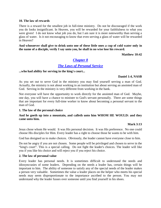#### **10. The law of rewards**

There is a reward for the smallest job in full-time ministry. Do not be discouraged if the work you do looks insignificant. In Heaven, you will be rewarded for your faithfulness to what you were given! I do not know what job you do, but I am sure it is more noteworthy than serving a glass of water. Is it not encouraging to know that even serving a glass of water will be rewarded in Heaven?

**And whosoever shall give to drink unto one of these little ones a cup of cold water only in the name of a disciple, verily I say unto you, he shall in no wise lose his reward.** 

**Matthew 10:42**

# <span id="page-23-0"></span>*[Chapter 8](#page-1-0)*

# *[The Laws of Personal Service](#page-1-0)*

#### **...who had ability for serving in the king's court...**

#### **Daniel 1:4, NASB**

As you set out to serve God in the ministry you may find yourself serving a man of God. Actually, the ministry is not about working in an institution but about serving an anointed man of God. Serving in the ministry is very different from working in the bank.

Not everyone will have the opportunity to work directly for the anointed man of God. Maybe, one day, you will have a chance to minister to God's servant personally. There are some things that are important for every full-time worker to know about becoming a personal servant to the man of God.

#### **1. The law of the personal choice**

#### **And he goeth up into a mountain, and calleth unto him WHOM HE WOULD: and they came unto him.**

#### **Mark 3:13**

Jesus chose whom He would. It was His personal decision. It was His preference. No one could choose His disciples for Him. Every leader has a right to choose those he wants to be with him.

God has designed us to make choices. Obviously, the leader cannot have everyone close to him.

Do not be angry if you are not chosen. Some people will be privileged and chosen to serve in the "king's court". This is a special calling. Do not fight the leader's choices. The leader will like you if you like his choice and will reject you if you reject his choice.

#### **2. The law of personal value**

Every leader has personal needs. It is sometimes difficult to understand the needs and idiosyncrasies of some leaders. Depending on the needs a leader has, certain things will be important to him. The ability of someone to satisfy any of the special needs of the leader makes a person very valuable. Sometimes the value a leader places on the helper who meets his special needs may seem disproportionate to the importance ascribed to the person. You may not understand why the leader fusses over someone until you find yourself in his shoes.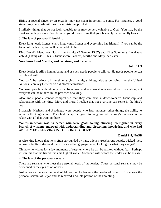Hiring a special singer or an organist may not seem important to some. For instance, a good singer may be worth millions to a ministering prophet.

Similarly, things that do not look valuable to us may be very valuable to God. You may be the most valuable person to God because you do something that your heavenly Father really loves.

### **3. The law of personal friendship**

Every king needs friends, every king wants friends and every king has friends! If you can be the friend of the leader, you will be valuable to him.

King David's friend was Hushai the Archite (2 Samuel 15:37) and King Solomon's friend was Zabud (1 Kings 4:5). Jesus' friends were Lazarus, Martha and Mary, her sister.

#### **Now Jesus loved Martha, and her sister, and Lazarus.**

## **John 11:5**

Every leader is still a human being and as such needs people to talk to. He needs people he can be relaxed with.

You can't be serious all the time; saying the right things, always behaving like the United Nations Secretary General on a diplomatic mission!

You need people with whom you can be relaxed and who are at ease around you. Somehow, not everyone can be relaxed in the presence of a king.

Also, most people cannot comprehend that they can have a down-to-earth friendship and relationship with the king. More and more, I realize that not everyone can serve in the king's court!

Shadrach, Meshach and Abednego were people who had, amongst other things, the ability to serve in the king's court. They had the special grace to hang around the king's environs and to relate with all that went on there.

## **Youths in whom was no defect, who were good-looking, showing intelligence in every branch of wisdom, endowed with understanding and discerning knowledge, and who had ABILITY FOR SERVING IN THE KING'S COURT...**

#### **Daniel 1:4, NASB**

A wise king knows that he is often surrounded by liars, thieves, treacherous people, wicked men, accusers, fault- finders and many poor and hungry-eyed men, looking for what they can get!

Oh, how he wishes for a few moments of respite, where he can be relaxed without fear. Perhaps it is in this that the friend finds his highest value! Someone with whom the leader can be at ease!

#### **4. The law of the personal servant**

There are servants who meet the personal needs of the leader. These personal servants may be demeaned in the eyes of onlookers.

Joshua was a personal servant of Moses but he became the leader of Israel. Elisha was the personal servant of Elijah and he received a double portion of the anointing.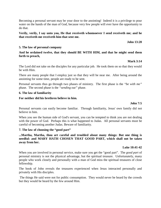Becoming a personal servant may be your door to the anointing! Indeed it is a privilege to pour water on the hands of the man of God, because very few people will ever have the opportunity to do that.

#### **Verily, verily, I say unto you, He that receiveth whomsoever I send receiveth me; and he that receiveth me receiveth him that sent me.**

#### **John 13:20**

#### **5. The law of personal company**

**And he ordained twelve, that they should BE WITH HIM, and that he might send them forth to preach,**

#### **Mark 3:14**

The Lord did not take on the disciples for any particular job. He took them on so that they would be with Him.

There are many people that I employ just so that they will be near me. After being around the anointing for some time, people are ready to be sent.

Personal servants thus go through two phases of ministry. The first phase is the *"be with me"* phase. The second phase is the *"sending out"* phase.

#### **6. The law of familiarity**

#### **For neither did his brethren believe in him.**

#### **John 7:5**

Personal servants can easily become familiar. Through familiarity, Jesus' own family did not believe in him.

When you see the human side of God's servant, you can be tempted to think you are not dealing with the power of God. Perhaps this is what happened to Judas. All personal servants must be careful of becoming another Judas. Beware of familiarity.

#### **7. The law of choosing the "good part"**

**...Martha, Martha, thou art careful and troubled about many things: But one thing is needful: and MARY HATH CHOSEN THAT GOOD PART, which shall not be taken away from her.**

#### **Luke 10:41-42**

When you are involved in personal service, make sure you get the "good part". The *good part* of personal ministry is not the physical advantage, but the spiritual treasure. Unfortunately, many people who work closely and personally with a man of God miss the spiritual treasures of close fellowship.

The book of John reveals the treasures experienced when Jesus interacted personally and privately with His disciples.

The things He said were not for public consumption. They would never be heard by the crowds but they would be heard by the few around Him.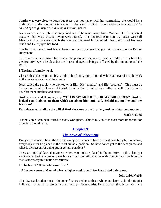Martha was very close to Jesus but Jesus was not happy with her spirituality. He would have preferred it if she was more interested in the Word of God. *Every personal servant must be careful of being unspiritual around a spiritual person.* 

Jesus knew that the job of serving food would be taken away from Martha. But the spiritual treasures that Mary was receiving were eternal. It is interesting to note that Jesus was still friendly to Martha even though she was not interested in the Word. Jesus still liked her very much and He enjoyed her food.

The fact that the spiritual leader likes you does not mean that you will do well on the Day of Judgement.

This is a common delusion for those in the personal company of spiritual leaders. They have the greatest privilege to be close but are in great danger of being unaffected by the anointing and the Word.

#### **8.The law of family work**

Christ's disciples were one big family. This family spirit often develops as several people work in the personal service of the apostle.

Jesus called the people who worked with Him, His "mother" and His "brothers". This must be the pattern for all followers of Christ. Create a family out of your full-time staff! Let them be your brothers, mothers and sisters.

**And he answered them, saying, WHO IS MY MOTHER, OR MY BRETHREN? And he looked round about on them which sat about him, and said, Behold my mother and my brethren!**

**For whosoever shall do the will of God, the same is my brother, and my sister, and mother.**

#### **Mark 3:33-35**

A family spirit can be nurtured in every workplace. This family spirit is even more important for growth in the ministry.

# <span id="page-26-0"></span>*[Chapter 9](#page-1-0)*

# *[The Laws of Placement](#page-1-0)*

Everybody wants to be at the top and everybody wants to have the best possible job. Somehow, everybody must be placed in the most suitable position. So how do we get to the best places and what is the reason for being put in certain positions?

There are spiritual laws that govern where you must be placed in the ministry. In this chapter I want you to look at some of these laws so that you will have the understanding and the humility that is necessary to function effectively.

#### **1. The law of "those who came first"**

#### **...After me comes a Man who has a higher rank than I, for He existed before me.**

#### **John 1:30, NASB**

This law teaches that those who come first are senior to those who come later. John the Baptist indicated that he had a senior in the ministry - Jesus Christ. He explained that Jesus was there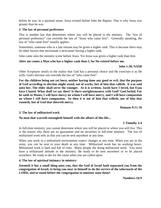before he was. In a spiritual sense, Jesus existed before John the Baptist. That is why Jesus was greater than he was.

#### **2. The law of personal preference**

This is another law that determines where you will be placed in the ministry. The "law of personal preference" can override the law of "those who came first". Generally speaking, the law of "who came first" usually applies.

Sometimes, someone who is a late entrant may be given a higher rank. This is because there may be other factors that necessitate a newcomer having a higher rank.

John came onto the ministry scene before Jesus. Yet Jesus was given a higher rank than him.

## **After me comes a Man who has a higher rank than I, for He existed before me.**

## **John 1:30, NASB**

Other Scriptures testify to the reality that God has a personal choice and He exercises it as He wills. God's election can override the law of "who came first".

**For the children being not yet born, neither having done any good or evil, that the purpose of God according to election might stand, not of works, but of him that calleth. It was said unto her, The elder shall serve the younger. As it is written, Jacob have I loved, but Esau have I hated. What shall we say then? Is there unrighteousness with God? God forbid. For he saith to Moses, I will have mercy on whom I will have mercy, and I will have compassion on whom I will have compassion. So then it is not of him that willeth, nor of him that runneth, but of God that sheweth mercy.**

#### **Romans 9:11-16**

#### **3. The law of militarized work**

## **No man that warreth entangleth himself with the affairs of this life...**

## **2 Timothy 2:4**

In full-time ministry, you cannot determine where you will be placed or where you will live. This is the reason why there are no guarantees and no securities in full-time ministry. The law of militarized work tells us that you can be sent anywhere at any time.

When you work in a militarized environment expect changes at any time. When you are in the army, you can be sent to your death at any time. Militarized work has no working hours. Militarized work is hard and full of risks. Many people die doing militarized work. You must have a militarized attitude in the ministry. Be ready to be sent anywhere or to be placed anywhere. Be ready to die for the cause when you are called upon.

#### **4. The law of spiritual intimacy in ministry**

**Seemeth it but a small thing unto you, that the God of Israel hath separated you from the congregation of Israel, to bring you near to himself to do the service of the tabernacle of the LORD, and to stand before the congregation to minister unto them?** 

**Numbers 16:9**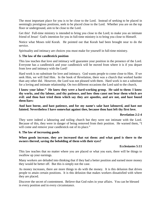The most important place for you is to be close to the Lord. Instead of seeking to be placed in seemingly prestigious positions, seek to be placed close to the Lord. Whether you are on the top floor or underground, aim to be close to the Lord.

Get this! Full-time ministry is intended to bring you close to the Lord; to make you an intimate friend of Jesus! God's intention for you in full-time ministry is to bring you close to Himself.

Notice what Moses told Korah. He pointed out that Korah had been brought near to do the service.

Spirituality and intimacy are choices you must make for yourself in full-time ministry.

## **5. The law of the candlestick position**

This law teaches that love and intimacy will guarantee your position in the presence of the Lord. Everyone has a candlestick and your candlestick will be moved from where it is if you depart from love and intimacy with the Lord!

Hard work is no substitute for love and intimacy. God wants people to come close to Him. If we seek Him, we will find Him. In the book of Revelation, there was a church that worked harder than any other did. However, the Lord was not pleased with them. Hard work is not a substitute for a loving and intimate relationship. On two different occasions the Lord said to the church,

**I know your labor." He knew they were a hard-working group. He said to them: I know thy works, and thy labour, and thy patience, and how thou canst not bear them which are evil: and thou hast tried them which say they are apostles, and are not, and hast found them liars:** 

**And hast borne, and hast patience, and for my name's sake hast laboured, and hast not fainted. Nevertheless I have somewhat against thee, because thou hast left thy first love.** 

## **Revelation 2:2-4**

They were indeed a labouring and toiling church but they were not intimate with the Lord. Because of this, they were in danger of being removed from their position. He warned them, "I will come and remove your candlestick out of its place."

#### **6. The law of increasing goods**

## **When goods increase, they are increased that eat them: and what good is there to the owners thereof, saving the beholding of them with their eyes?**

#### **Ecclesiastes 5:11**

This law teaches that no matter where you are placed or what you earn, there will be things to swallow up your earnings.

Many workers are deluded into thinking that if they had a better position and earned more money they would be better off. But this is simply not the case.

As money increases, there are more things to do with the money. It is this delusion that drives people to attain certain positions. It is this delusion that makes workers dissatisfied with where they are placed.

Discover the secret of contentment. Believe that God rules in your affairs. You can be blessed in every position and in every circumstance.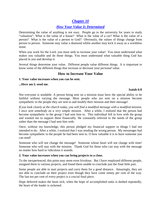# <span id="page-29-0"></span>*[Chapter 10](#page-1-0)*

# *[How Your Value Is Determined](#page-1-0)*

Determining the value of anything is not easy. People go to the university for years to study "valuation". What is the value of a house? What is the value of a car? What is the value of a person? What is the value of a person to God? Obviously, the values of things change from person to person. Someone may value a diamond whilst another may kick it away as a worthless stone.

When you work for the Lord, you must seek to increase your value! You must understand what makes you valuable and do those things. You must understand what valuable thing God has placed in you and develop it.

Several things determine your value. Different people value different things. It is important to know some of the different things that increase or decrease your *personal* value.

# **How to Increase Your Value**

## **1. Your value increases when you can be sent.**

**...Here am I; send me.**

#### **Isaiah 6:8**

Not everyone is sendable. A person being sent on a mission must have the special ability to be faithful without varying the message. Most people who are sent on a mission become sympathetic to the people they are sent to and modify their mission and their message!

*If you look closely at the church today, you will find a modified message with a modified mission. I once sent somebody on a very simple mission.* After a while, I realized that the person had become sympathetic to the group I had sent him to. This individual fell in love with the group and wanted me to support them financially. He constantly referred to the needs of the group rather than the message I had sent him with.

Once, without my knowledge, this person pledged my financial support to things I had not intended to do. After a while, I realized that I was sending the wrong person. My messenger had become sympathetic to the people he had been sent to. O how valuable it is to have someone you can send!

Someone who will not change the message! Someone whose heart will not change with time! Someone who will stay with the mission. Thank God for those who can stay with the message no matter how hard or ridiculous it sounds.

## **2. Your value increases when you can bring projects to a close.**

To the inexperienced, this point may seem even frivolous. But I have employed different people, assigned them to various projects, and found them unable to conclude just the final little part.

Some people are able to start projects and carry them for a good distance. Amazingly, they are not able to conclude on their project even though they have come ninety per cent of the way. The last ten per cent of every project is a crucial final piece.

Hope deferred makes the heart sick; when the hope of accomplished tasks is dashed repeatedly, the heart of the leader is sickened.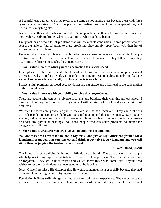A beautiful car, without one of its tyres, is the same as not having a car because a car with three tyres cannot be driven. Many people do not realize that one little uncompleted segment neutralizes everything else.

Jesus is the author and finisher of our faith. Some people are authors of things but not finishers. Your value greatly multiplies when you can finish what you have begun.

Every task has a whole lot of problems that will prevent its conclusion. Some people who are sent are unable to find solutions to these problems. They simply report back with their list of insurmountable problems.

However, the finisher will break through the barriers and overcome every obstacle. Such people are truly valuable. They just come home with a list of victories. They tell you how they overcame the different obstacles they encountered.

## **3. Your value increases when you can accomplish tasks with speed.**

It is a pleasure to have a fast and reliable worker. I have had workers who accomplish tasks at different speeds. I prefer to work with people who bring projects to a close quickly. In fact, the value of someone who can rapidly conclude projects is very high.

I place a high premium on speed because delays are expensive and often lead to the cancellation of the original vision.

## **4. Your value increases with your ability to solve diverse** *problems.*

There are people who can solve diverse problems and bulldoze their way through obstacles. I have people on my staff like that. They can deal with all kinds of people and solve all kinds of problems.

Whether the issues are private or public, they are able to sort them out. They can deal with difficult people, manage crises, help with personal matters and defeat the enemy. Such people are very valuable because life is full of diverse problems. Problems do not come in departments or under any particular headings. You need people who can solve problems no matter the category they fall into.

#### **5. Your value is greater if you are involved in building a foundation.**

## **You are those who have stood by Me in My trials; and just as My Father has granted Me a kingdom, I grant you that you may eat and drink at My table in My kingdom, and you will sit on thrones judging the twelve tribes of Israel.**

#### **Luke 22:28-30, NASB**

The foundation of a building is the most difficult part to build. There are always some people who help to set things up. The contribution of such people is priceless. These people must never be forgotten. They are to be treasured and valued above those who come later. Anyone who wishes to set them aside does not understand what he is doing.

Jesus Himself promised His disciples that He would remember them especially because they had been with Him during the most trying times of His ministry.

Foundation builders suffer things that future workers will never experience. They experience the greatest pressures of the ministry. There are pastors who can build large churches but cannot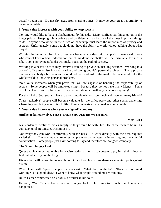actually begin one. Do not shy away from starting things. It may be your great opportunity to become valuable.

### **6. Your value increases with your ability to keep secrets.**

No king would like to have a blabbermouth by his side. Many confidential things go on in the king's palace. Keeping things private and confidential may be one of the most important things to do. Anyone who works in the office of leadership must learn the importance of privacy and secrecy. Unfortunately, some people do not have the ability to work without talking about what they do.

Working in banks requires lots of secrecy because you deal with people's private wealth; one who cannot keep official information out of his domestic chatter will be unsuitable for such a job. Upon employment, banks will make you sign the oath of secrecy.

Working in a pastor's office may involve listening to private counselling sessions. Working in a doctor's office may also involve hearing and seeing people's personal problems. These private matters are nobody's business and should not be broadcast to the world. No one would like the whole world to know his personal problems.

Your value increases when you prove that you are capable of handling the responsibility of secrets. Some people will be employed simply because they do not have many friends! Some people will get certain jobs because they do not talk much with anyone about anything!

For this kind of job, you will have to avoid people who talk too much and have too many friends!

These "talkative" people will become valuable for the office party and other social gatherings where they will bring everything to life. Please understand what makes you valuable.

#### **7. Your value increases when you are "good" company.**

## **And he ordained twelve, THAT THEY SHOULD BE WITH HIM.**

#### **Mark 3:14**

Jesus ordained twelve disciples simply so they would be with Him. He chose them to be in His company until He finished His ministry.

Not everybody can work comfortably with the boss. To work directly with the boss requires varied skills. The commander requires people who can engage in interesting and meaningful conversation. Some people just have nothing to say and therefore are not good company.

#### **The Silent Hungry Look**

Quiet people can be intolerable for a wise leader, as he has to constantly pry into their minds to find out what they are thinking.

His wisdom will cause him to search out hidden thoughts in case there are evolving plots against his life.

When I am with "quiet" people I always ask, "What do you think?" "How is your mind working? Is it a good idea?" I want to know what people around me are thinking.

Julius Caesar commented on Cassius, a worker in his court.

He said, "Yon Cassius has a lean and hungry look. He thinks too much: such men are dangerous."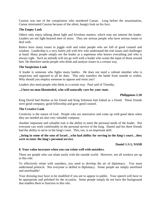Cassius was one of the conspirators who murdered Caesar. Long before the assassination, Caesar mistrusted Cassius because of the silent, hungry look on his face.

### **The Empty Look**

Others only enjoy talking about light and frivolous matters, which may not interest the leader. Leaders are not light-hearted men of straw. They are serious people who have serious issues to deal with.

Rulers have many issues to juggle with and value people who are full of good counsel and wisdom. Leadership is a very lonely job with few who understand the real issues and challenges at hand. Many people simply see the leader as a superman who knows everything and who is always right. Such an attitude will not go well with a leader who wants the input of those around him. He therefore needs people who think and analyze issues in a certain way.

#### **The Suspicious Look**

A leader is someone who fights many battles. He does not need a cabinet member who is suspicious and opposed to all he does. This only transfers the battle from outside to within. Why should you employ someone to oppose and resist you?

Leaders also need people who think in a certain way. Paul said of Timothy,

## **...I have no man likeminded, who will naturally care for your state.**

#### **Philippians 2:20**

King David had Hushai as his friend and King Solomon had Zabud as a friend. These friends were good company, good fellowship and gave good counsel.

#### **The Creative Look**

Creativity is the nature of God. People who are innovative and come up with good ideas when they are needed are also very valuable company.

Another important and valuable trait is the ability to meet the personal needs of the leader. Not everyone can work comfortably in the personal service of the king. Daniel and his three friends had the ability to serve in the king's court. This, too, is an important skill.

**...bring in some of the sons of Israel…who had ability for serving in the king's court…they were to enter the king's personal service.**

#### **Daniel 1:3-5, NASB**

#### **8. Your value increases when you can relate well with outsiders.**

There are people who can relate easily with the outside world. However, not all workers are up to this role.

To effectively relate with outsiders, you need to develop the art of diplomacy. You must understand protocol. Not everyone is skilled in diplomacy. Some people are simply unrefined and unrefinable!

Your dressing may have to be modified if you are to appear in public. Your speech will have to be appropriate and polished for the occasion. Some people simply do not have the background that enables them to function in this role.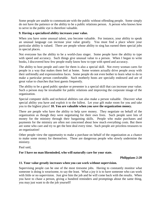Some people are unable to communicate with the public without offending people. Some simply do not have the patience or the ability to be a public relations person. A person who knows how to serve in the public eye is therefore valuable.

## **9. Having a specialized ability increases your value.**

When you have some unusual talent, you become valuable. For instance, your ability to speak an unusual language can increase your value greatly. You must find a place where your particular ability is valued. There are people whose ability to sing has earned them special jobs in special places.

Not everyone has the ability to be a world-class singer. Some people have the ability to type with speed and accuracy. Such things give unusual value to a person. When I began to write books, I discovered how few people really know how to type with speed and accuracy.

The ability to host people and cater for them is also a special skill. Not every woman cares for people in a way that makes them feel at home. Some women actually drive people away with their unfriendly and expressionless faces. Some people do not even bother to learn what to do to make a particular person comfortable. Such motherly hosts are specially endowed and are of great value to churches that host guests frequently.

The ability to be a good public speaker or presenter is a special skill that can increase your value. Such a person may be invaluable for public relations and improving the corporate image of the organization.

Special computer skills and technical abilities can also make a person valuable. Discover what special ability you have and exploit it to the fullest. Let your gift make room for you and take you to the highest place! **10. You are valuable when you save the organization money.** 

There are people who have the ability to help save money. They negotiate on behalf of the organization as though they were negotiating for their own lives. Such people save lots of money for the ministry through their bargaining skills. People who make purchases and payments for the ministry are often not concerned about how much everything costs. But there are some who care and try to get the best deal every time. Such people are priceless treasures to an organization!

Other people view the opportunity to make a purchase on behalf of the organization as a chance to make some money for themselves. These are dangerous people who slowly undermine the ministry.

Paul said,

## **For I have no man likeminded, who will naturally care for your state.**

#### **Philippians 2:20**

## **11. Your value greatly increases when you can work without supervision.**

Supervising people can be one of the most tiresome jobs. Having to constantly monitor what someone is doing is wearisome, to say the least. What a joy it is to have someone who can work with little or no supervision. Just give him the job and he will come back with the results. When you have to chase a person, giving a hundred reminders and promptings about the same thing, you may just want to do the job yourself!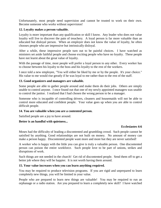Unfortunately, most people need supervision and cannot be trusted to work on their own. Become someone who works without supervision!

## **12. Loyalty makes a person valuable.**

Loyalty is more important than any qualification or skill I know. Any leader who does not value loyalty will live to discover the pain of treachery. A loyal person is far more valuable than an educated but disloyal person. When an employer does not know the value of loyalty, he often chooses people who are impressive but intrinsically disloyal.

After a while, these impressive people turn out to be painful choices. I have watched as ministers set aside faithful people and choose exciting people who have no loyalty. These people have not learnt about the great value of loyalty.

With the passage of time, most people will prefer a loyal person to any other. Every worker has to choose between his loyalty to the boss and his loyalty to the rest of the workers.

I once told a new employee, "You will either be liked by me or by the people. It's your choice." His value to me would rise greatly if he was loyal to me rather than to the rest of the staff.

## **13. Good organizers and managers are valuable.**

Some people are able to gather people around and make them do their jobs. Others are simply unable to control anyone. I once found out that one of my newly appointed managers was unable to control the janitor. I realized that I had chosen the wrong person to be a manager.

Someone who is incapable of controlling drivers, cleaners and housemaids will not be able to control more educated and confident people. Your value goes up when you are able to control difficult people.

#### **14. You are valuable when you are a contented person.**

Satisfied people are a joy to have around.

#### **Better is an handful with quietness...**

#### **Ecclesiastes 4:6**

Moses had the difficulty of leading a discontented and grumbling crowd. Such people cannot be satisfied by anything. Good relationships are not built on money. No amount of money can make a person happy. Discontented people want more and more but they are never satisfied!

A worker who is happy with the little you can give is truly a valuable person. One discontented person can poison the entire workforce. Such people love to be part of unions, strikes and disruptions of work.

Such things are not needed in the church! Get rid of discontented people. Send them off to get a better job where they will be happier. It is not worth having them around.

#### **15. Your value increases when you can learn anything required.**

You may be required to produce television programs. If you are rigid and unprepared to learn completely new things, you will be limited in your value.

People who are prepared to learn new things are valuable! You may be required to run an orphanage or a radio station. Are you prepared to learn a completely new skill? I have watched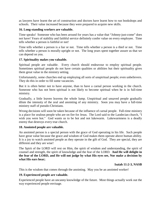as lawyers have learnt the art of construction and doctors have learnt how to run bookshops and schools. Their value increased because they were prepared to acquire new skills.

## **16. Long-standing workers are valuable.**

Time speaks! Someone who has been around for years has a value that "Johnny-just-come" does not have! Years of stability and faithful service definitely confer value on every employee. Time tells whether a person is faithful or not!

Time tells whether a person is a liar or not. Time tells whether a person is a thief or not. Time tells whether a person is morally upright or not. The long years spent together assure us that we can depend on you.

## **17. Spirituality makes you valuable.**

Spiritual people are valuable. Every church should endeavour to employ spiritual people. Sometimes spiritual people do not have certain qualities or abilities but their spirituality gives them great value in the ministry setting.

Unfortunately, some churches end up employing all sorts of unspiritual people; even unbelievers. They do this in order to fill some vacancies.

But it is often better not to have anyone, than to have a carnal person working in the church. Someone who has not been spiritual is not likely to become spiritual when he is in full-time ministry.

Gradually, a little leaven leavens the whole lump. Unspiritual and unsaved people gradually dilute the intensity of the zeal and anointing of any ministry. Soon you may have a full-time ministry staff of pseudo-Christians.

Wrong decisions will soon be taken because of the influence of carnal people. Full-time ministry is a place for zealous people who are on fire for Jesus. The Lord said to the Laodecian church, "I wish you were hot." God wants us to be hot and not lukewarm. Lukewarmness is a deadly enemy that destroys every true church.

## **18. Anointed people are valuable.**

An anointed person is a special person with the grace of God operating in his life. Such people have great value because the grace and wisdom of God makes them operate above human ability. It is a joy to watch anointed people as they operate in the gift of God. They are special, they are different and they are wise!

The Spirit of the LORD will rest on Him, the spirit of wisdom and understanding, the spirit of counsel and strength, the spirit of knowledge and the fear of the LORD. **And He will delight in the fear of the LORD, and He will not judge by what His eyes see, Nor make a decision by what His ears hear;**

#### **Isaiah 11:2-3, NASB**

This is the wisdom that comes through the anointing. May you be an anointed worker!

#### **19. Experienced people are valuable.**

Experienced people have an uncanny knowledge of the future. Most things actually work out the way experienced people envisage.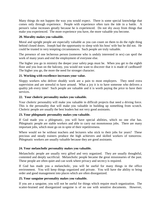Many things do not happen the way you would expect. There is some special knowledge that comes only through experience. People with experience often turn the tide in a battle. A person's value increases greatly because he is experienced. Do not shy away from things that make you experienced. The more experience you have, the more valuable you become.

## **20. Morality makes you valuable.**

Moral and upright people are especially valuable as you can count on them to do the right thing behind closed doors. Joseph had the opportunity to sleep with his boss' wife but he did not. He could be trusted in very tempting circumstances. Such people are truly valuable.

The presence of one lecherous person (someone who is unduly interested in sex) can spoil the work of many years and end the employment of everyone else.

The higher you go in ministry the deeper your safety pegs must be. When you get to the eighth floor and you lean on the balcony, you would not want to discover that it is made of cardboard! The higher you go, the more the need for stronger character.

## **21. Working with excellence increases your value.**

Sloppy workers who deliver shoddy work are a pain to most employers. They need extra supervision and are stressful to have around. What a joy it is to have someone who delivers a quality job every time! Such people are valuable and it is worth paying the price to have their services.

#### **22. Your choleric personality makes you valuable.**

Your choleric personality will make you valuable in difficult projects that need a driving force. This is the personality that will make you valuable in building up something from scratch. Choleric people are usually the best leaders but not very good assistants.

## **23. Your phlegmatic personality makes you valuable.**

If God made you a phlegmatic, you will have special abilities, which no one else has. Phlegmatic people are stable workers and able to carry out monotonous jobs. There are many important jobs, which must go on in spite of their repetitiveness.

Where would we be without teachers and lecturers who stick to their jobs for years? These precious and steady trainers produce the high achievers and skilled workers of tomorrow. Phlegmatic workers are usually valuable because they are good assistants.

#### **24. Your melancholic personality makes you valuable.**

Melancholic people are usually very gifted and very organized. They are usually thoughtful, contented and deeply sacrificial. Melancholic people became the great missionaries of the past. These people are often quiet and can work where privacy and secrecy is required.

If God has made you a melancholic, you will be useful for many things in the office environment. You will keep things organized and private. You will have the ability to bring order and good management into places which are often disorganized.

## **25. Your sanguine personality makes you valuable.**

If you are a sanguine, you will not be useful for things which require much organization. The scatter-brained and disorganized sanguine is of no use with sensitive documents. However,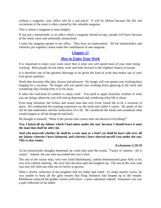without a sanguine, your office will be a sad place! It will be lifeless because the life and excitement of the team is often created by the valuable sanguine.

This is where a sanguine is most helpful.

If you put a melancholic in an office which a sanguine should occupy, people will leave because of the silent, stern and unfriendly melancholic.

I value the sanguine people in my office. They have no replacement. All the melancholics and cholerics put together cannot make the contribution of one sanguine.

# <span id="page-37-0"></span>*[Chapter 11](#page-1-0)*

# *[How to Enjoy Your Work](#page-1-0)*

It is important to enjoy your work since that is what you will spend most of your time doing working. Most people do not enjoy work and look forward to the slightest chance to escape.

It is therefore one of the greatest blessings to be given the kind of work that makes use of your God-given qualities.

Work then becomes like play, leisure and pleasure! No longer will you spend your working days longing for a vacation. No longer will you spend your working hours glancing at the clock and wondering why closing time is so far away.

It takes the God-kind of wisdom to enjoy work. You need to apply heavenly wisdom to what you are doing, otherwise you will end up depressed and wondering what life is about.

Even king Solomon, the richest and wisest man that ever lived, found life to be a vexation of spirit. He condemned his working experience on the earth and called it vanity. He spoke of the toil he had undertaken and the uselessness of it all. He considered the future and wondered what would happen to all the things he had built.

He thought to himself, "What if the person who comes after me destroys everything?"

**Yea, I hated all my labour which I had taken under the sun: because I should leave it unto the man that shall be after me.** 

**And who knoweth whether he shall be a wise man or a fool? yet shall he have rule over all my labour wherein I have laboured, and wherein I have shewed myself wise under the sun. This is also vanity.** 

#### **Ecclesiastes 2:18-19**

As his melancholic thoughts deepened, he could only utter the words, "Vanity of vanities. All is vanity." Indeed, the one who succeeded him was a fool.

The son of the wisest man, who ever lived (Rehoboam), indeed demonstrated great folly at his very first cabinet meeting. His very first decision split the kingdom up. The son of the wise man was now left with one tribe out of twelve to govern.

What a drastic reduction of the kingdom that his father had ruled! To make matters worse, he was unable to keep all the gold vessels that King Solomon had heaped up in the temple. Rehoboam replaced the golden vessels with brass - a poor substitute indeed! Solomon's son was a pale reflection of his father.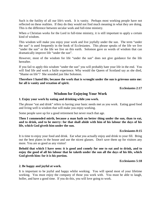Such is the futility of all our life's work. It is vanity. Perhaps most working people have not reflected on these realities. If they do they would not find much meaning in what they are doing. This is the difference between secular work and full-time ministry.

When a Christian works for the Lord in full-time ministry, it is still important to apply a certain kind of wisdom.

This wisdom will make you enjoy your work and live joyfully under the sun. The term "under the sun" is used frequently in the book of Ecclesiastes. This phrase speaks of the life we live "under the sun" or the life we live on this earth. Solomon gave us words of wisdom that can dramatically improve life "under the sun".

However, most of the wisdom for life "under the sun" does not give guidance for the life hereafter.

If you fail to apply this wisdom "under the sun" you will probably hate your life in the end. You will find life and work a futile experience. Why would the Queen of Scotland say as she died, "Shame on life"? She sounded just like Solomon.

**Therefore I hated life; because the work that is wrought under the sun is grievous unto me: for all is vanity and vexation of spirit.**

**Ecclesiastes 2:17**

# **Wisdom for Enjoying Your Work**

#### **1. Enjoy your work by eating and drinking while you work.**

The phrase "eat and drink" refers to having your basic needs met as you work. Eating good food and living well is wisdom that will make you enjoy working.

Some people save up for a good retirement but never reach that age.

**Then I commended mirth, because a man hath no better thing under the sun, than to eat, and to drink, and to be merry: for that shall abide with him of his labour the days of his life, which God giveth him under the sun.** 

**Ecclesiastes 8:15**

It is time to enjoy your food and drink. Eat what you actually enjoy and drink to your fill. Bring out the best plates in the house and use the nicest glasses. Don't save them up for visitors any more. You are as good as any visitor!

**Behold that which I have seen: it is good and comely for one to eat and to drink, and to enjoy the good of all his labour that he taketh under the sun all the days of his life, which God giveth him: for it is his portion.** 

**Ecclesiastes 5:18**

## **2. Be happy and joyful at work.**

It is important to be joyful and happy whilst working. You will spend most of your lifetime working. You must enjoy the company of those you work with. You must be able to laugh, holler, and have a good time. If you do this, you will love going to work.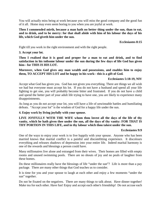You will actually miss being at work because you will miss the good company and the good fun of it all. Home may even seem boring to you when you are joyful at work.

## **Then I commended mirth, because a man hath no better thing under the sun, than to eat, and to drink, and to be merry: for that shall abide with him of his labour the days of his life, which God giveth him under the sun.**

**Ecclesiastes 8:15**

Fight till you work in the right environment and with the right people.

## **3. Accept your lot.**

**Then I realised that it is good and proper for a man to eat and drink, and to find satisfaction in his toilsome labour under the sun during the few days of life God has given him-- for THIS IS HIS LOT.** 

**Moreover, when God gives any man wealth and possessions, and enables him to enjoy them, TO ACCEPT HIS LOT and be happy in his work-- this is a gift of God.** 

## **Ecclesiastes 5:18-19, NIV**

Accept what God has given you. God has not given you everything. There are things we all wish we had but everyone must accept his lot. If you do not have a husband and spend all your life fighting to get one, you will probably become bitter and frustrated. If you do not have a child and spend the better part of your adult life trying to have one, you are likely to experience many disappointments.

As long as you do not accept your lot, you will have a life of unwinnable battles and humiliating defeats. "Accept your lot" is the wisdom of God for a happy life under the sun.

## **4. Enjoy work by living joyfully with your spouse.**

## **LIVE JOYFULLY WITH THE WIFE whom thou lovest all the days of the life of thy vanity, which he hath given thee under the sun, all the days of thy vanity: FOR THAT IS THY PORTION IN THIS LIFE, and in thy labour which thou takest under the sun.**

#### **Ecclesiastes 9:9**

One of the ways to enjoy your work is to live happily with your spouse. Anyone who has been married knows that marital conflict is a painful and discomfitting experience. It discolours everything and releases shadows of depression into your entire life. Indeed marital harmony is one of the rewards and blessings a person could have.

Many millionaires live alone and estranged from their wives. Their homes are filled with empty rooms and unused swimming pools. There are no shouts of joy and no peals of laughter from these homes.

Do these millionaires really have the blessings of life "under the sun"? Life is more than a pay package. There are many other things that God teaches us to consider.

It is time for you and your spouse to laugh at each other and enjoy a few moments "under the sun" together.

Do not be fixated on the negatives. There are many things to talk about. Have dinner together! Make tea for each other. Have fun! Enjoy and accept each other's friendship! Do not accuse each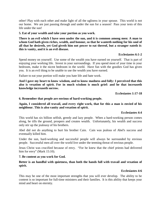other! Play with each other and make light of all the ugliness in your spouse. This world is not our home. We are just passing through and under the sun for a season! Pass your tests of this life under the sun!

**5. Eat of your wealth and take your portion as you work.** 

**There is an evil which I have seen under the sun, and it is common among men: A man to whom God hath given riches, wealth, and honour, so that he wanteth nothing for his soul of all that he desireth, yet God giveth him not power to eat thereof, but a stranger eateth it: this is vanity, and it is an evil disease.** 

## **Ecclesiastes 6:1-2**

Spend money on yourself. Use some of the wealth you have earned on yourself. That is part of enjoying your working life. Invest in your surroundings. If you spend most of your time in your bedroom, make it the nicest bedroom in the world. Have fun with the goodies God has given you. It is an evil thing to be unable to use the wealth you have earned.

Failure to eat your portion will make you hate life and hate work.

**And I gave my heart to know wisdom, and to know madness and folly: I perceived that this also is vexation of spirit. For in much wisdom is much grief: and he that increaseth knowledge increaseth sorrow.**

**Ecclesiastes 1:17-18**

#### **6. Remember that people are envious of hard-working people.**

## **Again, I considered all travail, and every right work, that for this a man is envied of his neighbour. This is also vanity and vexation of spirit.**

#### **Ecclesiastes 4:4**

This world has six billion selfish, greedy and lazy people. When a hard-working person comes along, he tills the ground, prospers and creates wealth. Unfortunately, his wealth and success only stir up the jealousy of his brothers.

Abel did not do anything to hurt his brother Cain. Cain was jealous of Abel's success and eventually killed him.

Under the sun, hard-working and successful people will always be surrounded by envious people. Successful men all over the world live under the teeming threat of envious people.

Jesus Christ was crucified because of envy. "For he knew that the chief priests had delivered him for envy" (Mark 15:10).

#### **7. Be content as you work for God.**

## **Better is an handful with quietness, than both the hands full with travail and vexation of spirit.**

## **Ecclesiastes 4:6**

This may be one of the most important strengths that you will ever develop. The ability to be content is so important for full-time ministers and their families. It is this ability that keeps your mind and heart on eternity.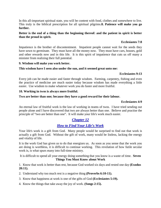In this all-important spiritual state, you will be content with food, clothes and somewhere to live. This truly is the biblical prescription for all spiritual pilgrims.**8. Patience will make you go further.** 

#### **Better is the end of a thing than the beginning thereof: and the patient in spirit is better than the proud in spirit.**

## **Ecclesiastes 7:8**

Impatience is the brother of discontentment. Impatient people cannot wait for the seeds they have sown to germinate. They must have all the money now. They must have cars, houses, gold and other rewards now and in this life. It is this spirit of impatience that cuts us off many a minister from realizing their full potential.

## **9. Wisdom will make you work better.**

## **This wisdom have I seen also under the sun, and it seemed great unto me:**

## **Ecclesiastes 9:13**

Every job can be made easier and faster through wisdom. Farming, carpentry, fishing and even the practice of medicine are much easier today because wisdom has made everything a little easier. Use wisdom to make whatever work you do faster and more fruitful.

## **10. Working in twos is always more fruitful.**

## **Two are better than one; because they have a good reward for their labour.**

#### **Ecclesiastes 4:9**

An eternal law of fruitful work is the law of working in teams of twos. I have tried sending out people alone and I have discovered that two are always better than one. Believe and practise the principle of "two are better than one". It will make your life's work much easier.

# <span id="page-41-0"></span>*[Chapter 12](#page-1-0)*

# *[How to Find Your Life's Work](#page-1-0)*

Your life's work is a gift from God. Many people would be surprised to find out that work is actually a gift from God. Without the gift of work, many would be listless, lacking the energy and vitality of life.

It is the work God has given us to do that energizes us. As soon as you sense that the work you are doing is worthless, it is difficult to continue working. This revelation of how futile secular work is, is what spurs many into full-time ministry.

It is difficult to spend all your energy doing something that you know is a waste of time. **Seven Things You Must Know about Work**

1. Know that work is better than rest, because God worked six days and rested one day **(Exodus 20:11).**

- 2. Understand why too much rest is a negative thing **(Proverbs 6:10-11).**
- 3. Know that happiness at work is one of the gifts of God **(Ecclesiastes 5:19).**
- 4. Know the things that take away the joy of work. **(Songs 2:15).**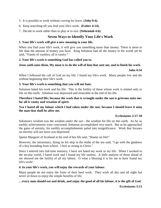- 5. It is possible to work without craving for leave. **(John 9:4).**
- 6. Keep searching till you find your life's work. **(Esther 4:14).**
- 7. Decide to work rather than to play or to rest. **(Nehemiah 4:6).**

# **Seven Ways to Identify Your Life's Work**

### **1. Your life's work will give a new meaning to your life.**

When you find your life's work, it will give you something more than money. There is more to life than the amount of money you have. King Solomon had all the money in the world yet he said, "Vanity of vanities; all is vanity."

## **2. Your life's work is something God has called you to.**

## **Jesus saith unto them, My meat is to do the will of him that sent me, and to finish his work.**

#### **John 4:34**

When I followed the call of God on my life, I found my life's work. Many people live and die without beginning their life's work.

#### **3. Your life's work is something that you will not hate.**

Solomon hated his work and his life. This is the futility of those whose work is related only to life on this earth. Solomon was depressed and miserable at the end of his life.

### **Therefore I hated life; because the work that is wrought under the sun is grievous unto me: for all is vanity and vexation of spirit.**

## **Yea I hated all my labour which I had taken under the sun: because I should leave it unto the man that shall be after me.**

#### **Ecclesiastes 2:17-18**

Solomon's wisdom was the wisdom *under the sun* - the wisdom for life on this earth. As far as earthly achievements were concerned, Solomon accomplished very much. But as he approached the gates of eternity, his earthly accomplishments paled into insignificance. Work that focuses on eternity will not leave you depressed.

Queen Margaret of Scotland at the end of her life said, "Shame on life!"

However, the missionary, dying on his ship in the midst of the sea said, "I go with the gladness of a boy bounding from school. I feel so strong in Christ."

Since I entered into full-time ministry, I have not hated my work or my life. When I worked in the secular world, I hated work and I found my life useless. A little analysis of those ahead of me showed me the futility of all my labour. O what a blessing it is for me to have found my life's work!

#### **4. In your life's work, you will enjoy the rewards of your labour.**

Many people do not enjoy the fruits of their hard work. They work all day and all night but never sit down to enjoy the simple benefits of life.

## **…every man should eat and drink, and enjoy the good of all his labour, it is the gift of God.**

**Ecclesiastes 3:13**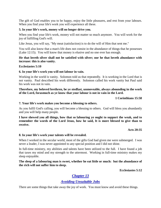The gift of God enables you to be happy, enjoy the little pleasures, and rest from your labours. When you find your life's work you will experience all these.

## **5. In your life's work, money will no longer drive you.**

When you find your life's work, money will not matter so much anymore. You will work for the joy of fulfilling God's will.

Like Jesus, you will say, "My meat (satisfaction) is to do the will of Him that sent me."

You will also know that a man's life does not consist in the abundance of things that he possesses (Luke 12:15). You will know that money is elusive and no one ever has enough.

### **He that loveth silver shall not be satisfied with silver; nor he that loveth abundance with increase: this is also vanity.**

## **Ecclesiastes 5:10**

## **6. In your life's work you will not labour in vain.**

Working in the world is vanity. Solomon told us that repeatedly. It is working in the Lord that is not vanity. Paul described his work differently. Solomon called his work vanity but Paul said his work was not in vain.

## **Therefore, my beloved brethren, be ye stedfast, unmoveable, always abounding in the work of the Lord, forasmuch as ye know that your labour is not in vain in the Lord.**

## **1 Corinthians 15:58**

## **7. Your life's work makes you become a blessing to others.**

As you fulfil God's calling, you will become a blessing to others. God will bless you abundantly and you will help many people.

**I have shewed you all things, how that so labouring ye ought to support the weak, and to remember the words of the Lord Jesus, how he said, It is more blessed to give than to receive.** 

#### **Acts 20:35**

## **8. In your life's work your talents will be revealed.**

When I worked in the secular world, most of the gifts God had given me were submerged. I was never a leader, I was never appointed to any special position and I did not shine.

In full-time ministry, my abilities and talents have been utilized to the full. I have found a job that taxes my mind and my strength to the uttermost. Working in full-time ministry makes my sleep enjoyable.

## **The sleep of a labouring man is sweet, whether he eat little or much: but the abundance of the rich will not suffer him to sleep.**

**Ecclesiastes 5:12**

# <span id="page-43-0"></span>*[Chapter 13](#page-1-0)*

# *[Avoiding Unsuitable Jobs](#page-1-0)*

There are some things that take away the joy of work. You must know and avoid these things.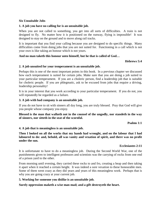#### **Six Unsuitable Jobs**

## **1. A job you have no calling for is an unsuitable job.**

When you are not called to something, you get into all sorts of difficulties. A train is not designed to fly. No matter how it is positioned on the runway, flying is impossible! It was designed to stay on the ground and to move along rail tracks.

It is important that you find your calling because you are designed to do specific things. Many difficulties come from doing jobs that you are not suited for. Functioning in a call which is not your own is like taking an honour which is not yours.

## **And no man taketh this honour unto himself, but he that is called of God…**

#### **Hebrews 5:4**

#### **2. A job unsuited for your temperament is an unsuitable job.**

Perhaps this is one of the most important points in this book. In a previous chapter we discussed how each temperament is suited for certain jobs. Make sure that you are doing a job suited to your particular temperament. If you are a choleric person, find a leadership job that is suitable for choleric people. If you are phlegmatic, ask to be excused from jobs that require a driving, leadership personality!

It is in your interest that you work according to your particular temperament. If you do not, you will repeatedly be regarded as a failure.

## **3. A job with bad company is an unsuitable job.**

If you do not have to sit with sinners all day long, you are truly blessed. Pray that God will give you people whose company you enjoy.

**Blessed is the man that walketh not in the counsel of the ungodly, nor standeth in the way of sinners, nor sitteth in the seat of the scornful.** 

**Psalms 1:1**

## **4. A job that is meaningless is an unsuitable job.**

**Then I looked on all the works that my hands had wrought, and on the labour that I had laboured to do: and, behold, all was vanity and vexation of spirit, and there was no profit under the sun.** 

#### **Ecclesiastes 2:11**

It is unfortunate to have to do a meaningless job. During the Second World War, one of the punishments given to intelligent professors and scientists was the carrying of rocks from one end of a prison yard to the other.

From morning until evening, they carried these rocks to and fro, creating a heap and then taking it apart when it reached a certain height. It was indeed a sore vexation to these honourable men. Some of them went crazy as they did years and years of this meaningless work. Perhaps that is why you are going crazy at your current job.

#### **5. Working for someone you dislike is an unsuitable job.**

## **Surely oppression maketh a wise man mad; and a gift destroyeth the heart.**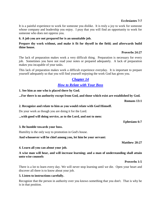It is a painful experience to work for someone you dislike. It is truly a joy to work for someone whose company and leadership you enjoy. I pray that you will find an opportunity to work for someone who does not oppress you.

#### **6. A job you are not prepared for is an unsuitable job.**

## **Prepare thy work without, and make it fit for thyself in the field; and afterwards build thine house.**

#### **Proverbs 24:27**

The lack of preparation makes work a very difficult thing. Preparation is necessary for every job. Sometimes you have not read your notes or prepared adequately. A lack of preparation makes you incapable of your tasks.

This lack of preparation makes work a difficult experience everyday. It is important to prepare yourself adequately so that you will find yourself enjoying the work God has given you.

# <span id="page-45-0"></span>*[Chapter 14](#page-1-0)*

# *[How to Relate with Your Boss](#page-1-0)*

**1. See him as one who is placed there by God.**

**...For there is no authority except from God, and those which exist are established by God.** 

#### **Romans 13:1**

## **2. Recognize and relate to him as you would relate with God Himself.**

Do your work as though you are doing it for the Lord.

**...with good will doing service, as to the Lord, and not to men:** 

**Ephesians 6:7**

#### **3. Be humble towards your boss.**

Humility is the only way to promotion in God's house.

**And whosoever will be chief among you, let him be your servant:** 

**Matthew 20:27**

#### **4. Learn all you can about your job.**

## **A wise man will hear, and will increase learning; and a man of understanding shall attain unto wise counsels**

**Proverbs 1:5**

There is a lot to learn every day. We will never stop learning until we die. Open your heart and discover all there is to know about your job.

#### **5. Listen to instructions carefully.**

Recognize that the person in authority over you knows something that you don't. That is why he is in that position.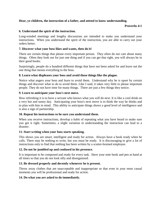## **Hear, ye children, the instruction of a father, and attend to know understanding.**

### **Proverbs 4:1**

#### **6. Understand the spirit of the instruction.**

Long-winded meetings and lengthy discussions are intended to make you understand your instructions. When you understand the spirit of the instruction, you are able to carry out your orders better.

## **7. Discover what your boss likes and wants, then do it!**

There are certain things that please every important person. They often do not care about many things. Often they look out for just one thing and if you can get that right, you will always be in their good books.

Surprisingly, people do a hundred different things that have not been asked for and leave out the one thing that means everything to the boss.

## **8. Learn what displeases your boss and avoid those things like the plague.**

Notice what angers your boss and learn to avoid them. Understand why he is upset by certain things and discover what to do to avoid them. Like I said, it takes very little to please important people. They do not have time for many things. There are just a few things they notice.

#### **9. Learn to anticipate your boss's next move.**

How refreshing it is to have a servant who knows what you will do next. It is like a cool drink on a very hot and sunny day. Anticipating your boss's next move is to think the way he thinks and to plan with him in mind. This ability to anticipate things shows a good level of intelligence and is also a sign of partnership.

#### **10. Repeat his instructions to be sure you understand them.**

When you receive instructions, develop a habit of repeating what you have heard to make sure you got it right. Sometimes, a slight variation in understanding the instruction can lead to a disaster.

#### **11. Start writing when your boss starts speaking.**

This shows you are smart, intelligent and ready for action. Always have a book ready when he calls. There may be nothing to write, but you must be ready. It is discouraging to give a lot of instructions only to find that nothing has been written by a scatter-brained employee.

#### **12. Do not be jumbled up and confused in his presence.**

It is important to be composed and ready for every task. Have your note book and pen at hand at all times so that you do not look silly and disorganized.

#### **13. Be dressed properly and decently whenever he is present.**

Throw away clothes that are unacceptable and inappropriate so that even in your most casual moments you will be professional and ready for action.

#### **14. Do what you are asked to do immediately.**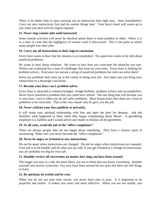There is no better time to start carrying out an instruction than right now. Start immediately! Carry out new instructions first and do routine things later. Your boss's heart will warm up to you when you deal with his urgent requests.

## **15. Never stop routine jobs until instructed.**

Some routine activities will never be checked unless there is some problem or other. Often, it is in a time of crisis that the negligence of routine work is discovered. This is the point at which many people lose their jobs.

## **16. Carry out all instructions to their logical conclusion.**

Every boss wants to hear that the mission is accomplished. No supervisor wants to be told about unsolved problems.

He wants to hear about solutions. He wants to hear how you overcame the obstacles you met. Within one command lies a host of challenges that must be overcome. Every boss is looking for problem solvers. Everyone can narrate a string of unsolved problems but who can solve them?

Solve any problems that come up in the course of doing your job. Just make sure you bring your instructions to a thorough conclusion.

## **17. Become your boss's no.1 problem solver.**

Every boss is attracted to solution-bringers, bridge-builders, problem solvers and accomplishers. Never leave unsolved a problem that you could have solved. The one thing that will devalue you in your boss' eyes is when you do not solve problems. Most bosses know that there are a host of problems to be overcome. That is the very reason why he gave you the job.

## **18. Never criticize your boss publicly or privately.**

It will erode your spiritual relationship with him and open the door for demons. Ask the Israelites what happened to them when they began complaining about Moses. A grumbling employee is a liability and I would advise any leader to dismiss all the grumblers.

## **19. At all costs, avoid the job of the "office complainer".**

There are always people who are not happy about something. They have a chronic spirit of murmuring. Make sure you never become the "office complainer".

## **20. Never be angry or irritated at new instructions.**

Do not be upset when instructions are changed. Do not be angry when instructions are repeated. Your job is to be humble and do what you are told. If you get irritated at a change of instructions, you are probably too big for your job.

## **21. Humbly receive all corrections no matter how long you have been around.**

The longer you stay in a job, the more likely you are to think that you know everything. Humble yourself and receive correction. You may have been around for ten years but there are still things to learn.

## **22. Be spiritual, be restful and be wise.**

When you do not use your time wisely, you never have time to pray. It is important to be prayerful and restful. It makes you wiser and more effective. When you are not restful, you